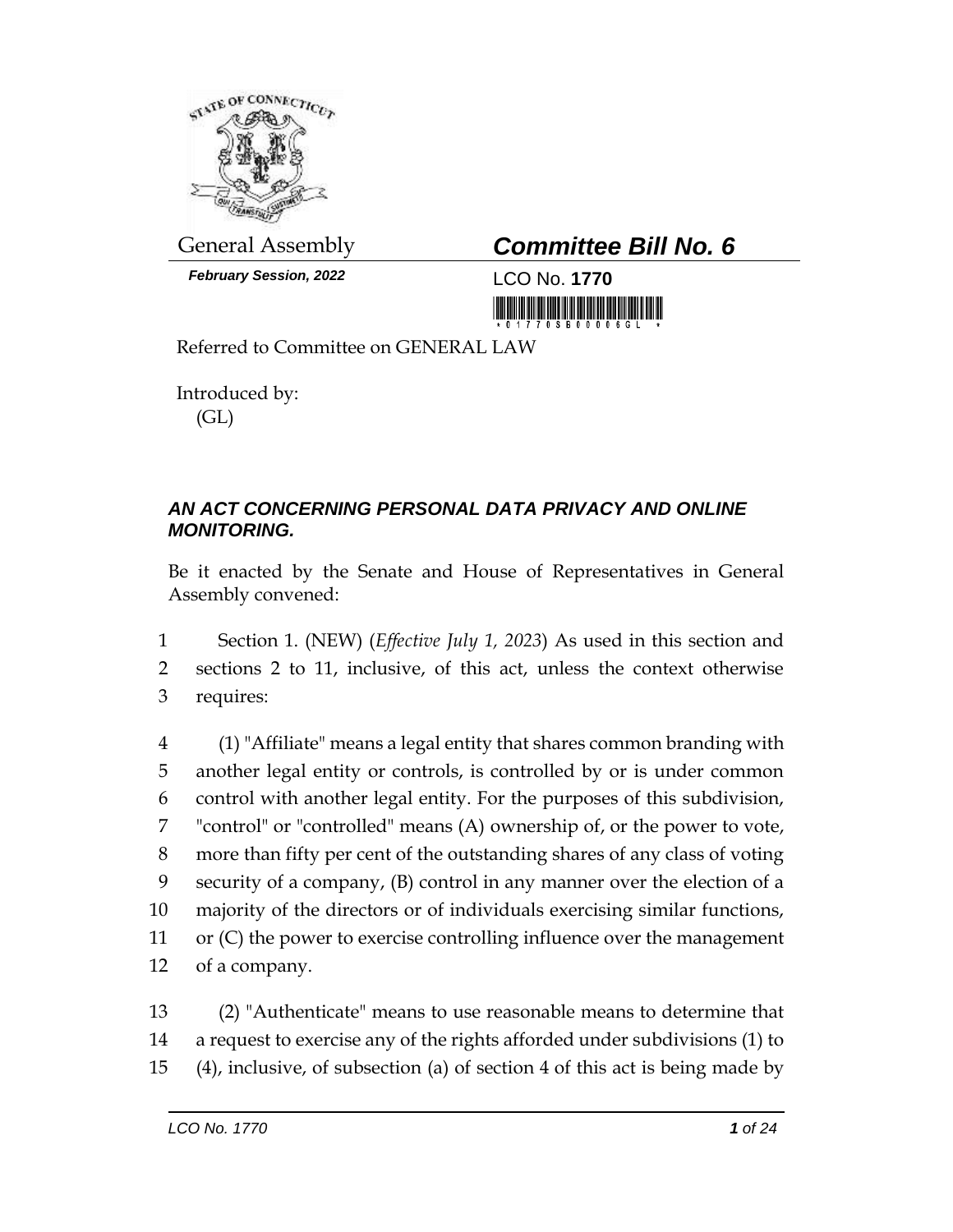

*February Session, 2022* LCO No. **1770**

## General Assembly *Committee Bill No. 6*

<u> 1989 - Johann Barn, mars et</u>

Referred to Committee on GENERAL LAW

Introduced by: (GL)

## *AN ACT CONCERNING PERSONAL DATA PRIVACY AND ONLINE MONITORING.*

Be it enacted by the Senate and House of Representatives in General Assembly convened:

1 Section 1. (NEW) (*Effective July 1, 2023*) As used in this section and 2 sections 2 to 11, inclusive, of this act, unless the context otherwise 3 requires:

 (1) "Affiliate" means a legal entity that shares common branding with another legal entity or controls, is controlled by or is under common control with another legal entity. For the purposes of this subdivision, "control" or "controlled" means (A) ownership of, or the power to vote, more than fifty per cent of the outstanding shares of any class of voting security of a company, (B) control in any manner over the election of a majority of the directors or of individuals exercising similar functions, or (C) the power to exercise controlling influence over the management of a company.

13 (2) "Authenticate" means to use reasonable means to determine that 14 a request to exercise any of the rights afforded under subdivisions (1) to 15 (4), inclusive, of subsection (a) of section 4 of this act is being made by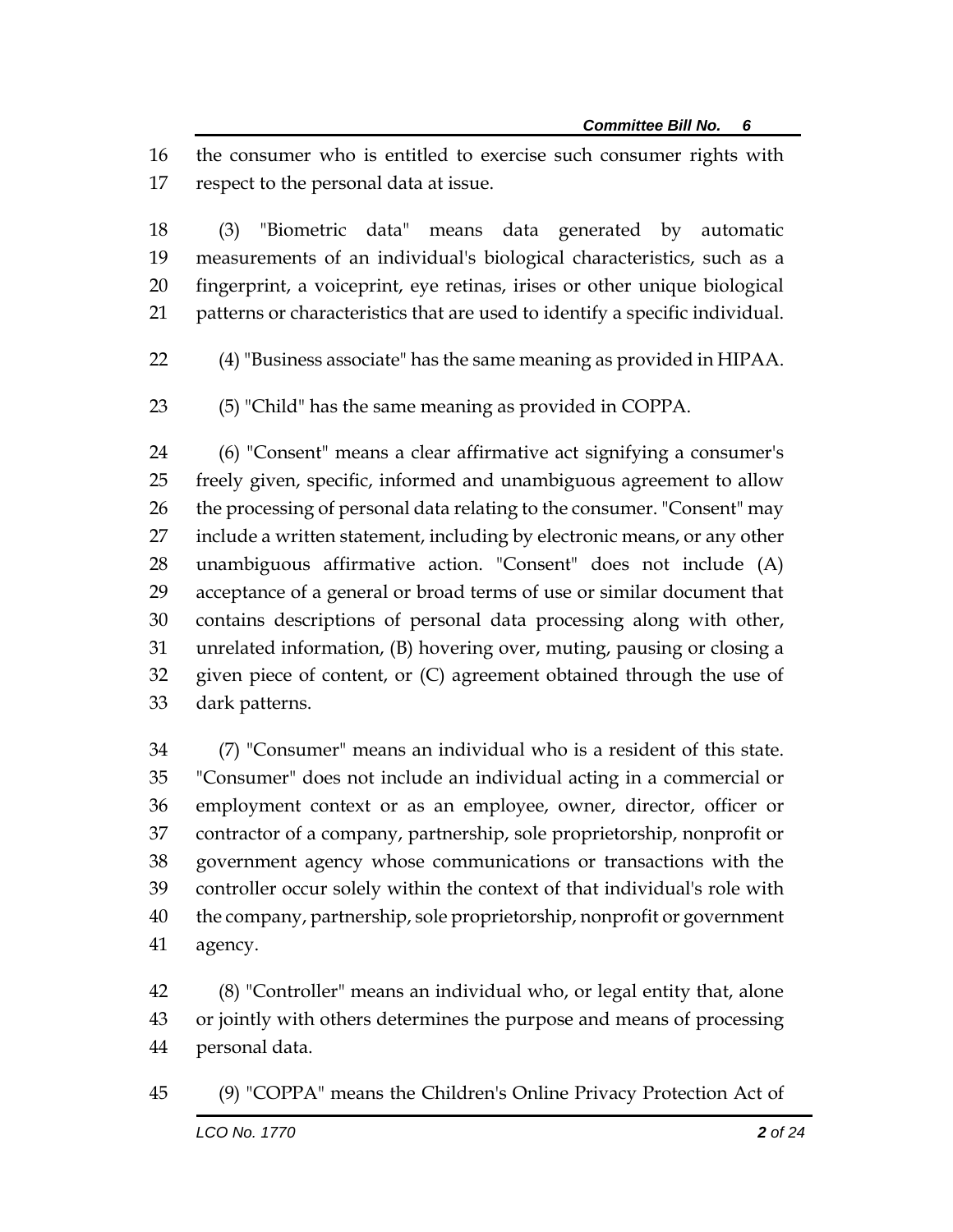the consumer who is entitled to exercise such consumer rights with respect to the personal data at issue.

 (3) "Biometric data" means data generated by automatic measurements of an individual's biological characteristics, such as a fingerprint, a voiceprint, eye retinas, irises or other unique biological patterns or characteristics that are used to identify a specific individual.

(4) "Business associate" has the same meaning as provided in HIPAA.

(5) "Child" has the same meaning as provided in COPPA.

 (6) "Consent" means a clear affirmative act signifying a consumer's freely given, specific, informed and unambiguous agreement to allow 26 the processing of personal data relating to the consumer. "Consent" may include a written statement, including by electronic means, or any other unambiguous affirmative action. "Consent" does not include (A) acceptance of a general or broad terms of use or similar document that contains descriptions of personal data processing along with other, unrelated information, (B) hovering over, muting, pausing or closing a given piece of content, or (C) agreement obtained through the use of dark patterns.

 (7) "Consumer" means an individual who is a resident of this state. "Consumer" does not include an individual acting in a commercial or employment context or as an employee, owner, director, officer or contractor of a company, partnership, sole proprietorship, nonprofit or government agency whose communications or transactions with the controller occur solely within the context of that individual's role with the company, partnership, sole proprietorship, nonprofit or government agency.

 (8) "Controller" means an individual who, or legal entity that, alone or jointly with others determines the purpose and means of processing personal data.

(9) "COPPA" means the Children's Online Privacy Protection Act of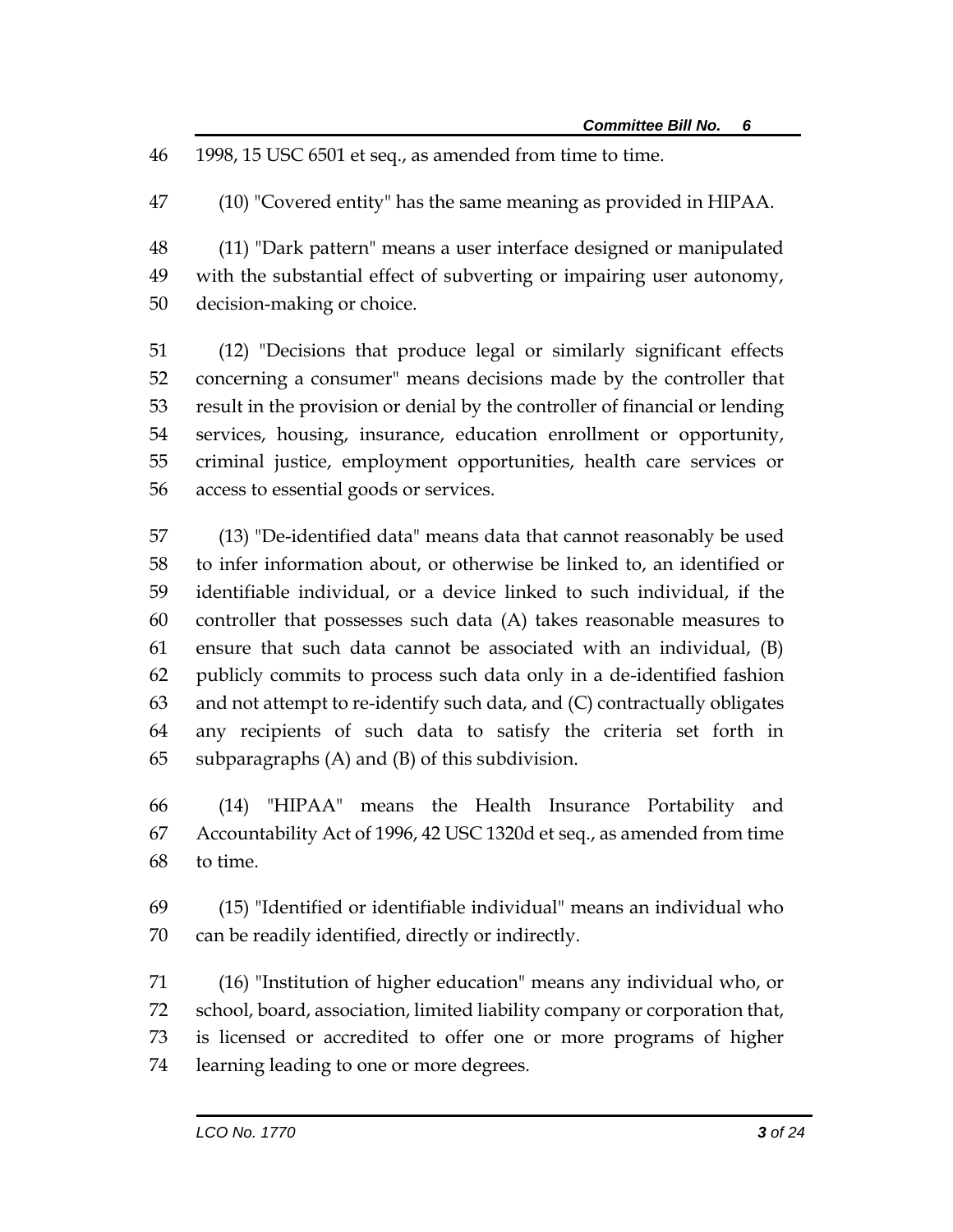1998, 15 USC 6501 et seq., as amended from time to time.

(10) "Covered entity" has the same meaning as provided in HIPAA.

 (11) "Dark pattern" means a user interface designed or manipulated with the substantial effect of subverting or impairing user autonomy, decision-making or choice.

 (12) "Decisions that produce legal or similarly significant effects concerning a consumer" means decisions made by the controller that result in the provision or denial by the controller of financial or lending services, housing, insurance, education enrollment or opportunity, criminal justice, employment opportunities, health care services or access to essential goods or services.

 (13) "De-identified data" means data that cannot reasonably be used to infer information about, or otherwise be linked to, an identified or identifiable individual, or a device linked to such individual, if the controller that possesses such data (A) takes reasonable measures to ensure that such data cannot be associated with an individual, (B) publicly commits to process such data only in a de-identified fashion and not attempt to re-identify such data, and (C) contractually obligates any recipients of such data to satisfy the criteria set forth in subparagraphs (A) and (B) of this subdivision.

 (14) "HIPAA" means the Health Insurance Portability and Accountability Act of 1996, 42 USC 1320d et seq., as amended from time to time.

 (15) "Identified or identifiable individual" means an individual who can be readily identified, directly or indirectly.

 (16) "Institution of higher education" means any individual who, or school, board, association, limited liability company or corporation that, is licensed or accredited to offer one or more programs of higher learning leading to one or more degrees.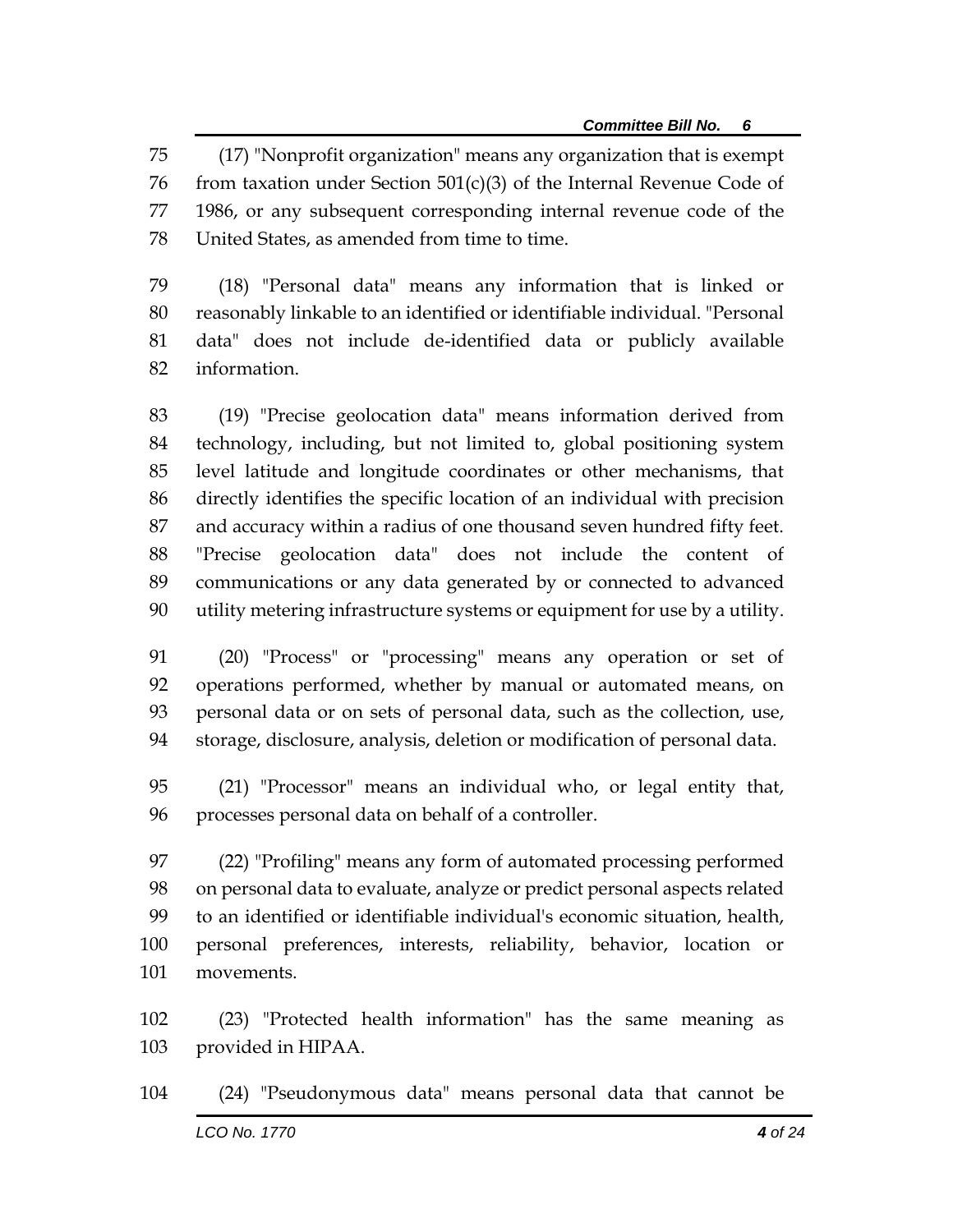(17) "Nonprofit organization" means any organization that is exempt 76 from taxation under Section  $501(c)(3)$  of the Internal Revenue Code of 1986, or any subsequent corresponding internal revenue code of the United States, as amended from time to time.

 (18) "Personal data" means any information that is linked or reasonably linkable to an identified or identifiable individual. "Personal data" does not include de-identified data or publicly available information.

 (19) "Precise geolocation data" means information derived from technology, including, but not limited to, global positioning system level latitude and longitude coordinates or other mechanisms, that directly identifies the specific location of an individual with precision and accuracy within a radius of one thousand seven hundred fifty feet. "Precise geolocation data" does not include the content of communications or any data generated by or connected to advanced utility metering infrastructure systems or equipment for use by a utility.

 (20) "Process" or "processing" means any operation or set of operations performed, whether by manual or automated means, on personal data or on sets of personal data, such as the collection, use, storage, disclosure, analysis, deletion or modification of personal data.

 (21) "Processor" means an individual who, or legal entity that, processes personal data on behalf of a controller.

 (22) "Profiling" means any form of automated processing performed on personal data to evaluate, analyze or predict personal aspects related to an identified or identifiable individual's economic situation, health, personal preferences, interests, reliability, behavior, location or movements.

 (23) "Protected health information" has the same meaning as provided in HIPAA.

*LCO No. 1770**4 of 24* (24) "Pseudonymous data" means personal data that cannot be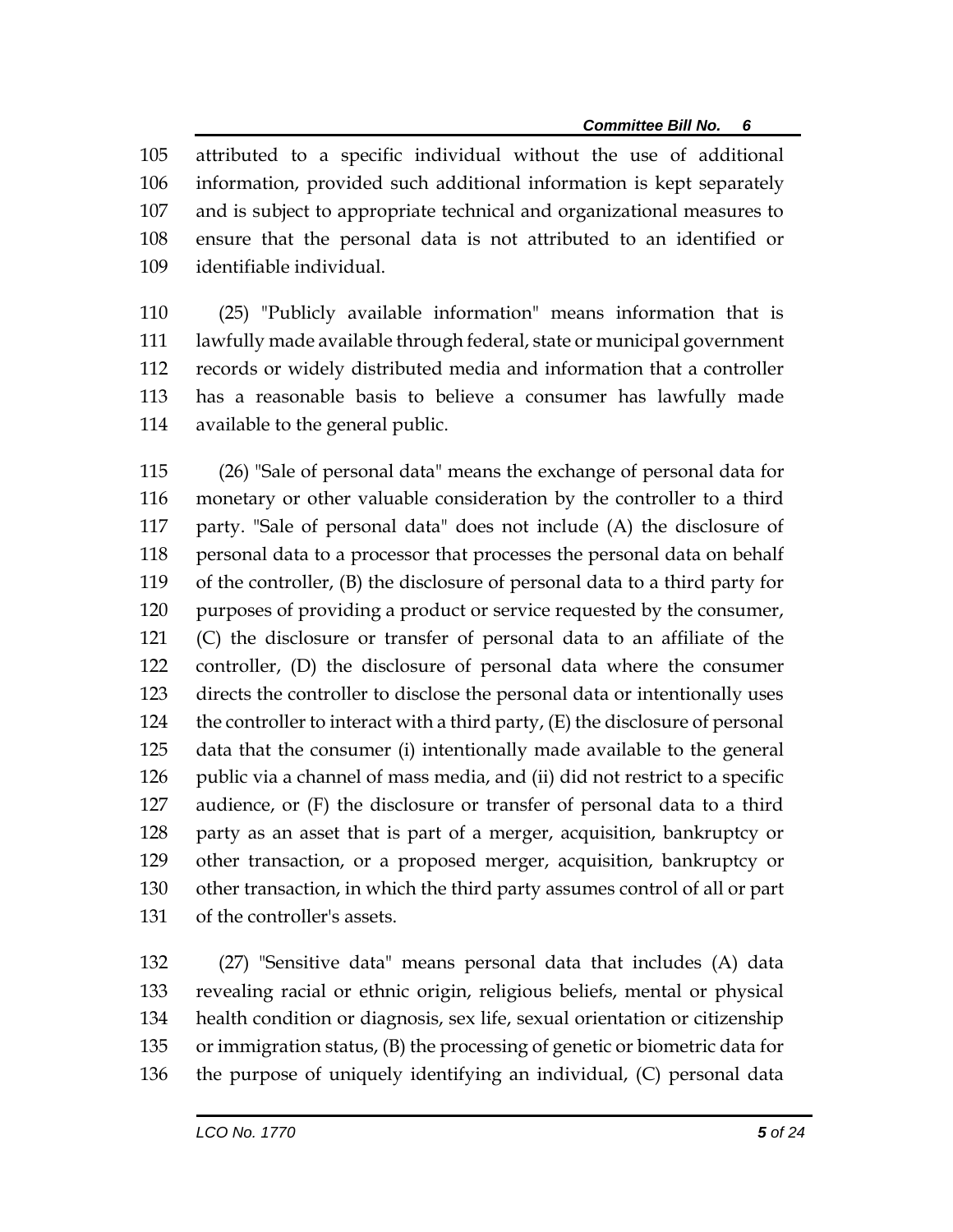attributed to a specific individual without the use of additional information, provided such additional information is kept separately and is subject to appropriate technical and organizational measures to ensure that the personal data is not attributed to an identified or identifiable individual.

 (25) "Publicly available information" means information that is lawfully made available through federal, state or municipal government records or widely distributed media and information that a controller has a reasonable basis to believe a consumer has lawfully made available to the general public.

 (26) "Sale of personal data" means the exchange of personal data for monetary or other valuable consideration by the controller to a third party. "Sale of personal data" does not include (A) the disclosure of 118 personal data to a processor that processes the personal data on behalf of the controller, (B) the disclosure of personal data to a third party for purposes of providing a product or service requested by the consumer, (C) the disclosure or transfer of personal data to an affiliate of the controller, (D) the disclosure of personal data where the consumer directs the controller to disclose the personal data or intentionally uses 124 the controller to interact with a third party, (E) the disclosure of personal data that the consumer (i) intentionally made available to the general public via a channel of mass media, and (ii) did not restrict to a specific audience, or (F) the disclosure or transfer of personal data to a third party as an asset that is part of a merger, acquisition, bankruptcy or other transaction, or a proposed merger, acquisition, bankruptcy or other transaction, in which the third party assumes control of all or part of the controller's assets.

 (27) "Sensitive data" means personal data that includes (A) data revealing racial or ethnic origin, religious beliefs, mental or physical health condition or diagnosis, sex life, sexual orientation or citizenship or immigration status, (B) the processing of genetic or biometric data for the purpose of uniquely identifying an individual, (C) personal data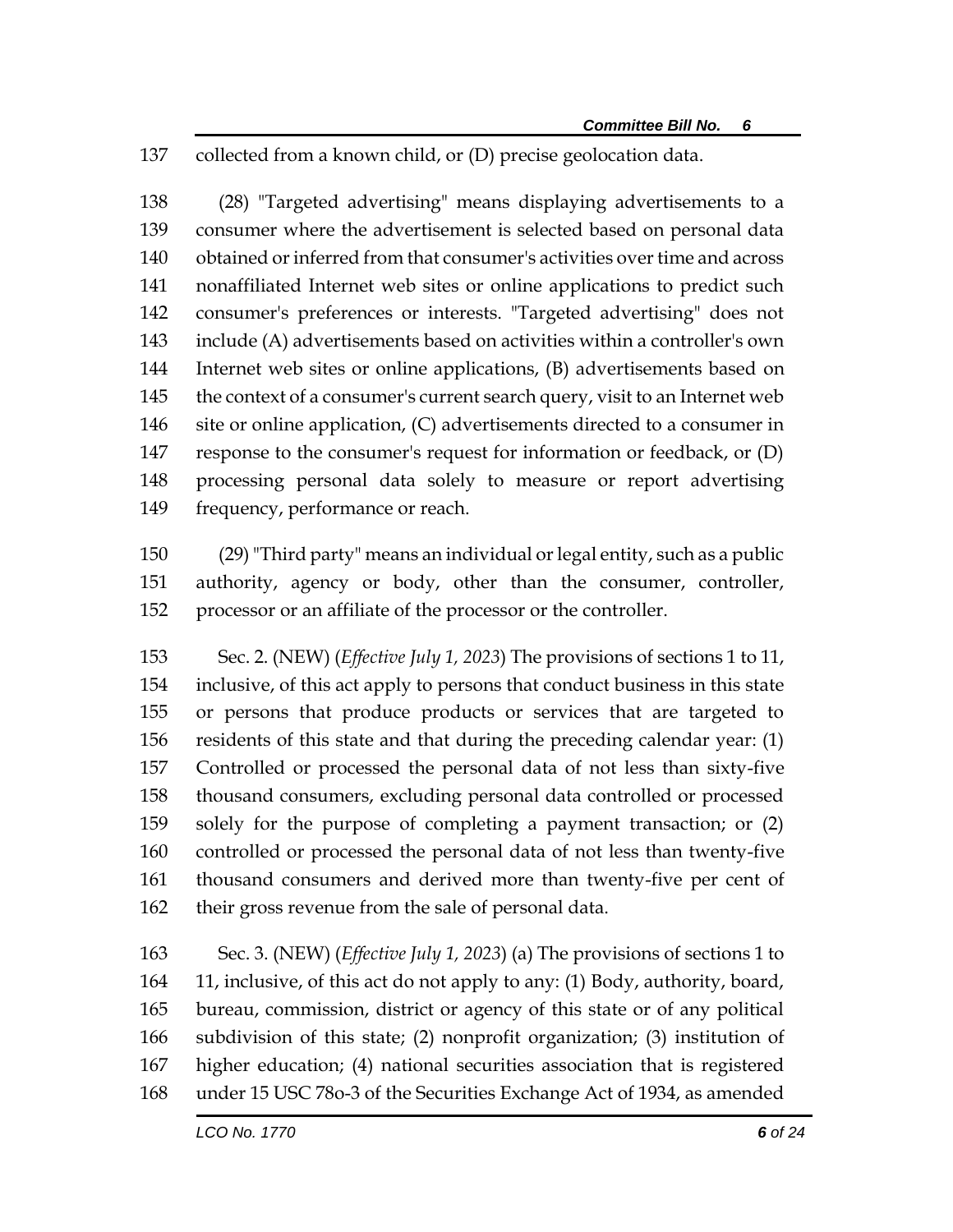collected from a known child, or (D) precise geolocation data.

 (28) "Targeted advertising" means displaying advertisements to a consumer where the advertisement is selected based on personal data obtained or inferred from that consumer's activities over time and across nonaffiliated Internet web sites or online applications to predict such consumer's preferences or interests. "Targeted advertising" does not include (A) advertisements based on activities within a controller's own Internet web sites or online applications, (B) advertisements based on the context of a consumer's current search query, visit to an Internet web 146 site or online application, (C) advertisements directed to a consumer in response to the consumer's request for information or feedback, or (D) processing personal data solely to measure or report advertising frequency, performance or reach.

 (29) "Third party" means an individual or legal entity, such as a public authority, agency or body, other than the consumer, controller, processor or an affiliate of the processor or the controller.

 Sec. 2. (NEW) (*Effective July 1, 2023*) The provisions of sections 1 to 11, inclusive, of this act apply to persons that conduct business in this state or persons that produce products or services that are targeted to residents of this state and that during the preceding calendar year: (1) Controlled or processed the personal data of not less than sixty-five thousand consumers, excluding personal data controlled or processed solely for the purpose of completing a payment transaction; or (2) controlled or processed the personal data of not less than twenty-five thousand consumers and derived more than twenty-five per cent of their gross revenue from the sale of personal data.

 Sec. 3. (NEW) (*Effective July 1, 2023*) (a) The provisions of sections 1 to 11, inclusive, of this act do not apply to any: (1) Body, authority, board, bureau, commission, district or agency of this state or of any political subdivision of this state; (2) nonprofit organization; (3) institution of higher education; (4) national securities association that is registered under 15 USC 78o-3 of the Securities Exchange Act of 1934, as amended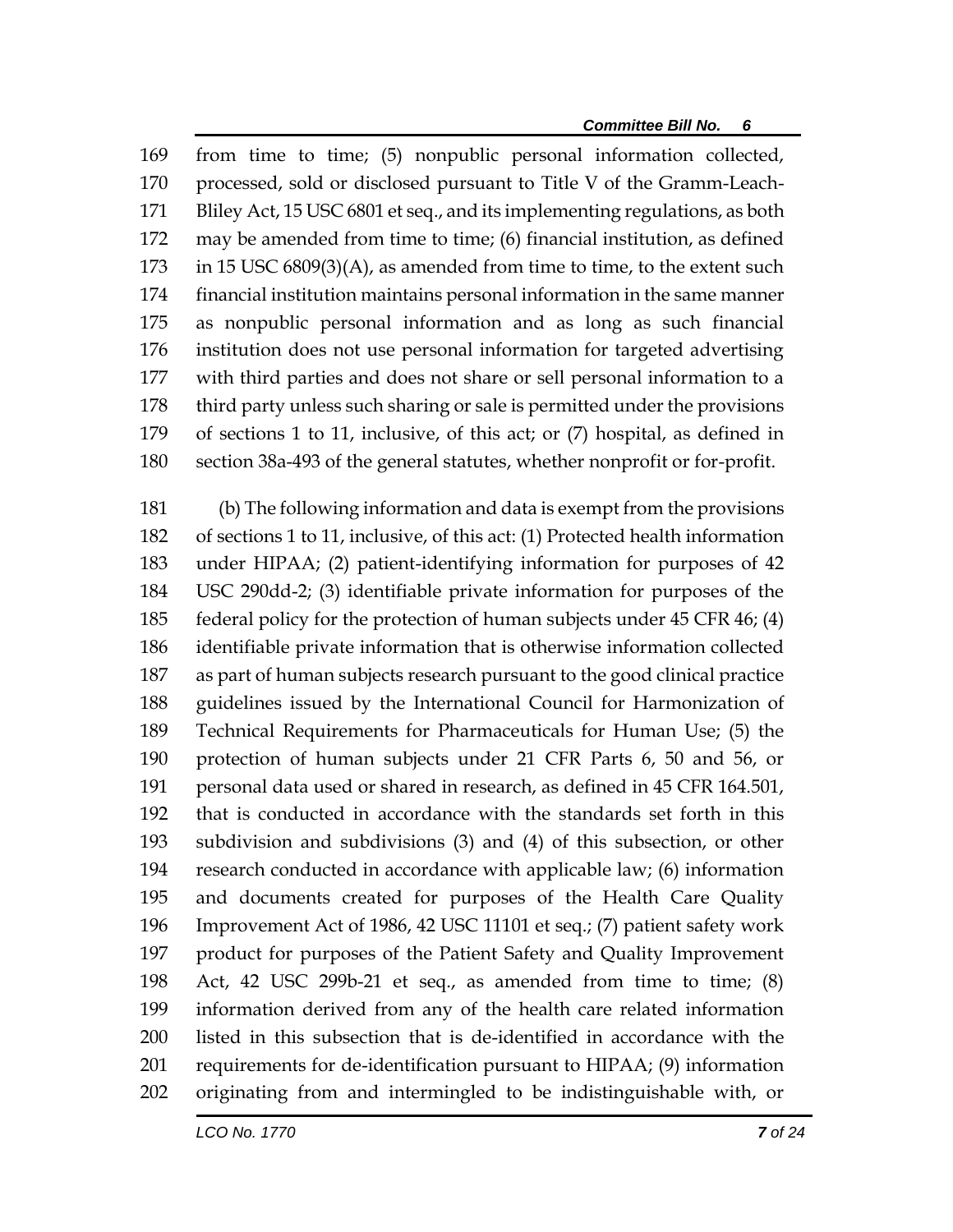from time to time; (5) nonpublic personal information collected, processed, sold or disclosed pursuant to Title V of the Gramm-Leach- Bliley Act, 15 USC 6801 et seq., and its implementing regulations, as both may be amended from time to time; (6) financial institution, as defined 173 in 15 USC 6809(3)(A), as amended from time to time, to the extent such financial institution maintains personal information in the same manner as nonpublic personal information and as long as such financial institution does not use personal information for targeted advertising with third parties and does not share or sell personal information to a third party unless such sharing or sale is permitted under the provisions of sections 1 to 11, inclusive, of this act; or (7) hospital, as defined in section 38a-493 of the general statutes, whether nonprofit or for-profit.

 (b) The following information and data is exempt from the provisions of sections 1 to 11, inclusive, of this act: (1) Protected health information under HIPAA; (2) patient-identifying information for purposes of 42 USC 290dd-2; (3) identifiable private information for purposes of the federal policy for the protection of human subjects under 45 CFR 46; (4) identifiable private information that is otherwise information collected as part of human subjects research pursuant to the good clinical practice guidelines issued by the International Council for Harmonization of Technical Requirements for Pharmaceuticals for Human Use; (5) the protection of human subjects under 21 CFR Parts 6, 50 and 56, or personal data used or shared in research, as defined in 45 CFR 164.501, that is conducted in accordance with the standards set forth in this subdivision and subdivisions (3) and (4) of this subsection, or other research conducted in accordance with applicable law; (6) information and documents created for purposes of the Health Care Quality Improvement Act of 1986, 42 USC 11101 et seq.; (7) patient safety work product for purposes of the Patient Safety and Quality Improvement Act, 42 USC 299b-21 et seq., as amended from time to time; (8) information derived from any of the health care related information listed in this subsection that is de-identified in accordance with the requirements for de-identification pursuant to HIPAA; (9) information originating from and intermingled to be indistinguishable with, or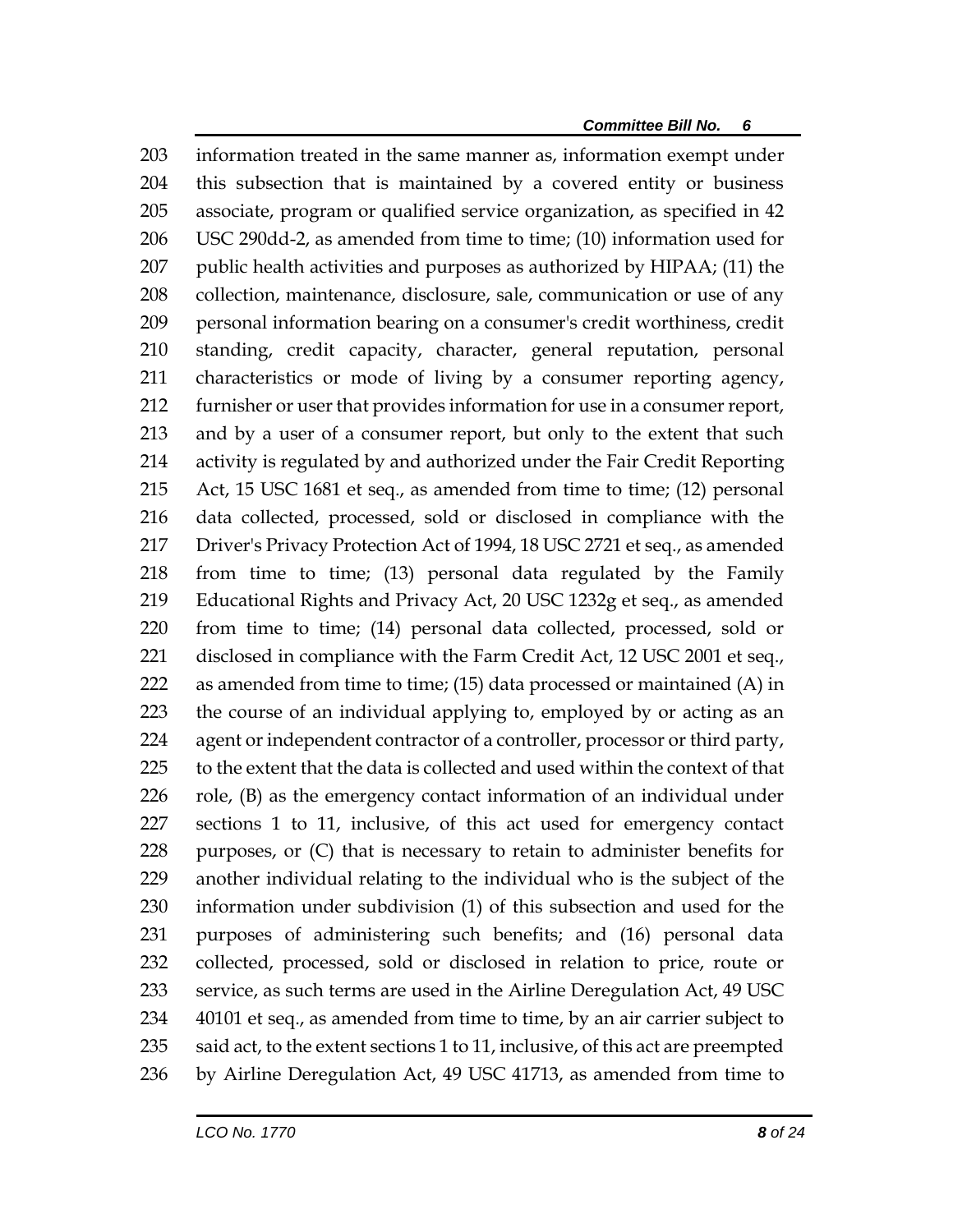information treated in the same manner as, information exempt under this subsection that is maintained by a covered entity or business associate, program or qualified service organization, as specified in 42 USC 290dd-2, as amended from time to time; (10) information used for 207 public health activities and purposes as authorized by HIPAA; (11) the collection, maintenance, disclosure, sale, communication or use of any personal information bearing on a consumer's credit worthiness, credit standing, credit capacity, character, general reputation, personal characteristics or mode of living by a consumer reporting agency, furnisher or user that provides information for use in a consumer report, and by a user of a consumer report, but only to the extent that such activity is regulated by and authorized under the Fair Credit Reporting Act, 15 USC 1681 et seq., as amended from time to time; (12) personal data collected, processed, sold or disclosed in compliance with the Driver's Privacy Protection Act of 1994, 18 USC 2721 et seq., as amended from time to time; (13) personal data regulated by the Family Educational Rights and Privacy Act, 20 USC 1232g et seq., as amended from time to time; (14) personal data collected, processed, sold or 221 disclosed in compliance with the Farm Credit Act, 12 USC 2001 et seq., as amended from time to time; (15) data processed or maintained (A) in the course of an individual applying to, employed by or acting as an agent or independent contractor of a controller, processor or third party, to the extent that the data is collected and used within the context of that role, (B) as the emergency contact information of an individual under sections 1 to 11, inclusive, of this act used for emergency contact purposes, or (C) that is necessary to retain to administer benefits for another individual relating to the individual who is the subject of the information under subdivision (1) of this subsection and used for the purposes of administering such benefits; and (16) personal data collected, processed, sold or disclosed in relation to price, route or service, as such terms are used in the Airline Deregulation Act, 49 USC 40101 et seq., as amended from time to time, by an air carrier subject to 235 said act, to the extent sections 1 to 11, inclusive, of this act are preempted by Airline Deregulation Act, 49 USC 41713, as amended from time to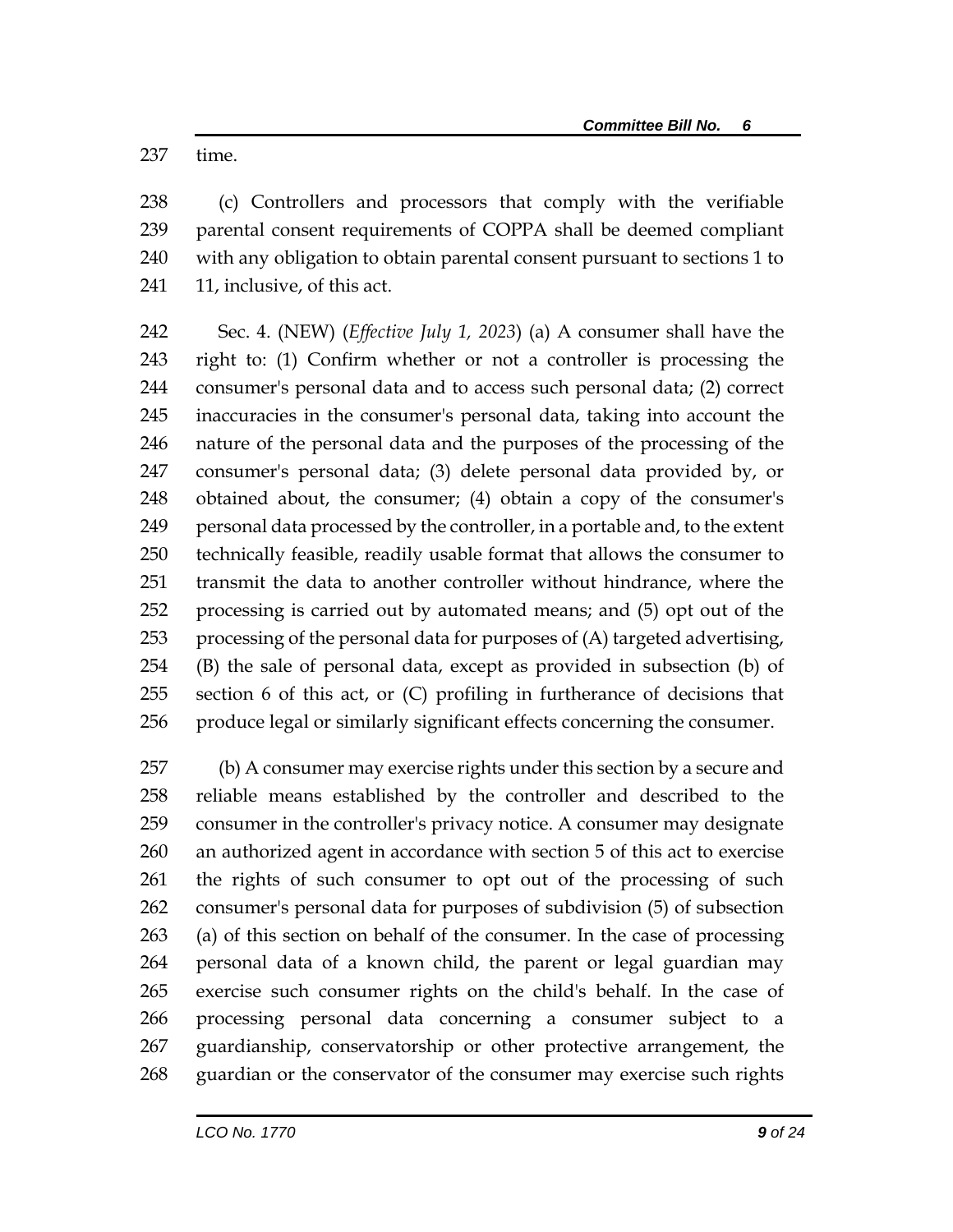time.

 (c) Controllers and processors that comply with the verifiable parental consent requirements of COPPA shall be deemed compliant with any obligation to obtain parental consent pursuant to sections 1 to 241 11, inclusive, of this act.

 Sec. 4. (NEW) (*Effective July 1, 2023*) (a) A consumer shall have the right to: (1) Confirm whether or not a controller is processing the consumer's personal data and to access such personal data; (2) correct inaccuracies in the consumer's personal data, taking into account the nature of the personal data and the purposes of the processing of the consumer's personal data; (3) delete personal data provided by, or obtained about, the consumer; (4) obtain a copy of the consumer's personal data processed by the controller, in a portable and, to the extent technically feasible, readily usable format that allows the consumer to transmit the data to another controller without hindrance, where the processing is carried out by automated means; and (5) opt out of the processing of the personal data for purposes of (A) targeted advertising, (B) the sale of personal data, except as provided in subsection (b) of section 6 of this act, or (C) profiling in furtherance of decisions that produce legal or similarly significant effects concerning the consumer.

 (b) A consumer may exercise rights under this section by a secure and reliable means established by the controller and described to the consumer in the controller's privacy notice. A consumer may designate an authorized agent in accordance with section 5 of this act to exercise the rights of such consumer to opt out of the processing of such consumer's personal data for purposes of subdivision (5) of subsection (a) of this section on behalf of the consumer. In the case of processing personal data of a known child, the parent or legal guardian may exercise such consumer rights on the child's behalf. In the case of processing personal data concerning a consumer subject to a guardianship, conservatorship or other protective arrangement, the guardian or the conservator of the consumer may exercise such rights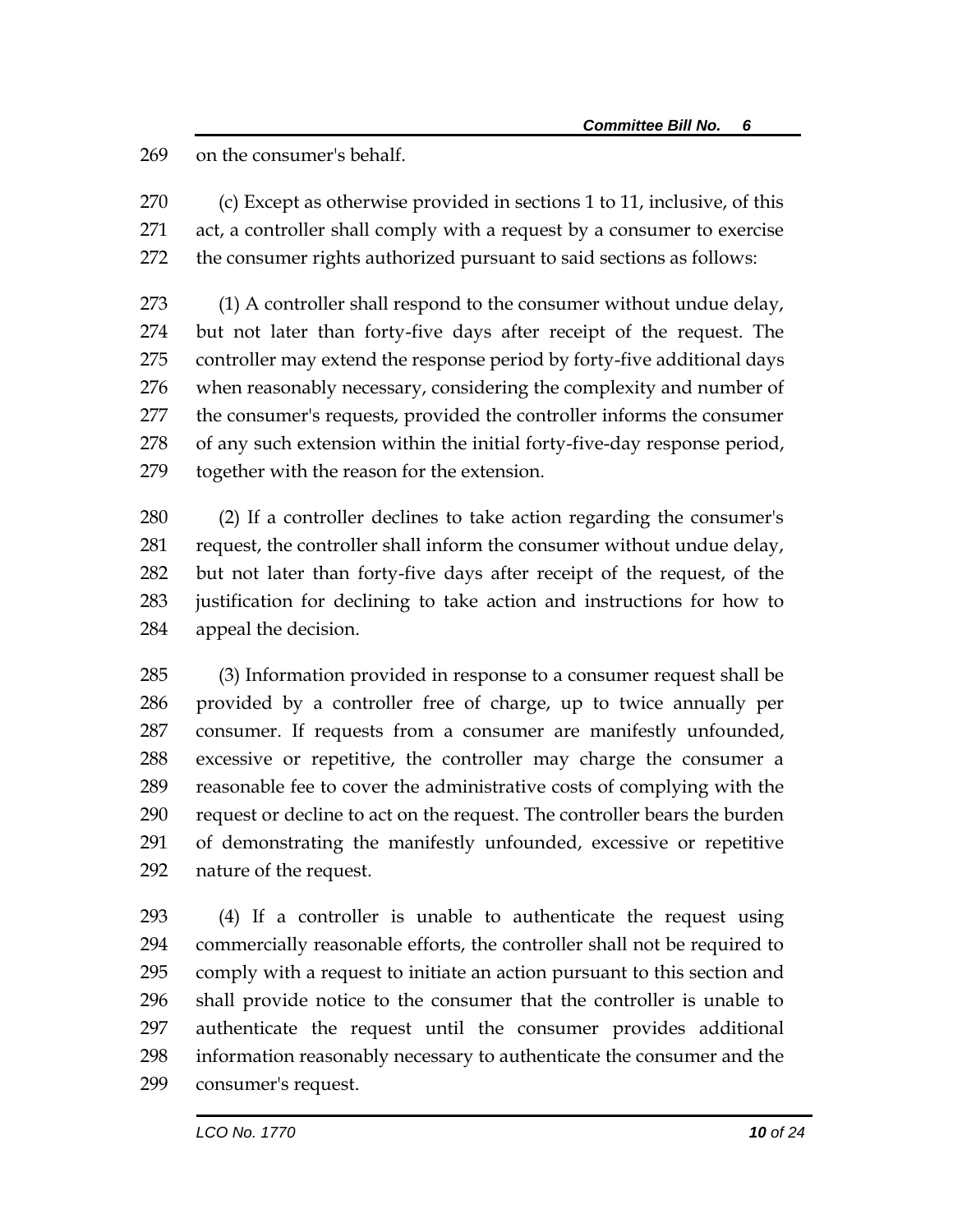on the consumer's behalf.

 (c) Except as otherwise provided in sections 1 to 11, inclusive, of this act, a controller shall comply with a request by a consumer to exercise the consumer rights authorized pursuant to said sections as follows:

273 (1) A controller shall respond to the consumer without undue delay, but not later than forty-five days after receipt of the request. The controller may extend the response period by forty-five additional days when reasonably necessary, considering the complexity and number of the consumer's requests, provided the controller informs the consumer of any such extension within the initial forty-five-day response period, together with the reason for the extension.

 (2) If a controller declines to take action regarding the consumer's request, the controller shall inform the consumer without undue delay, but not later than forty-five days after receipt of the request, of the justification for declining to take action and instructions for how to appeal the decision.

 (3) Information provided in response to a consumer request shall be provided by a controller free of charge, up to twice annually per consumer. If requests from a consumer are manifestly unfounded, excessive or repetitive, the controller may charge the consumer a reasonable fee to cover the administrative costs of complying with the request or decline to act on the request. The controller bears the burden of demonstrating the manifestly unfounded, excessive or repetitive nature of the request.

 (4) If a controller is unable to authenticate the request using commercially reasonable efforts, the controller shall not be required to comply with a request to initiate an action pursuant to this section and shall provide notice to the consumer that the controller is unable to authenticate the request until the consumer provides additional information reasonably necessary to authenticate the consumer and the consumer's request.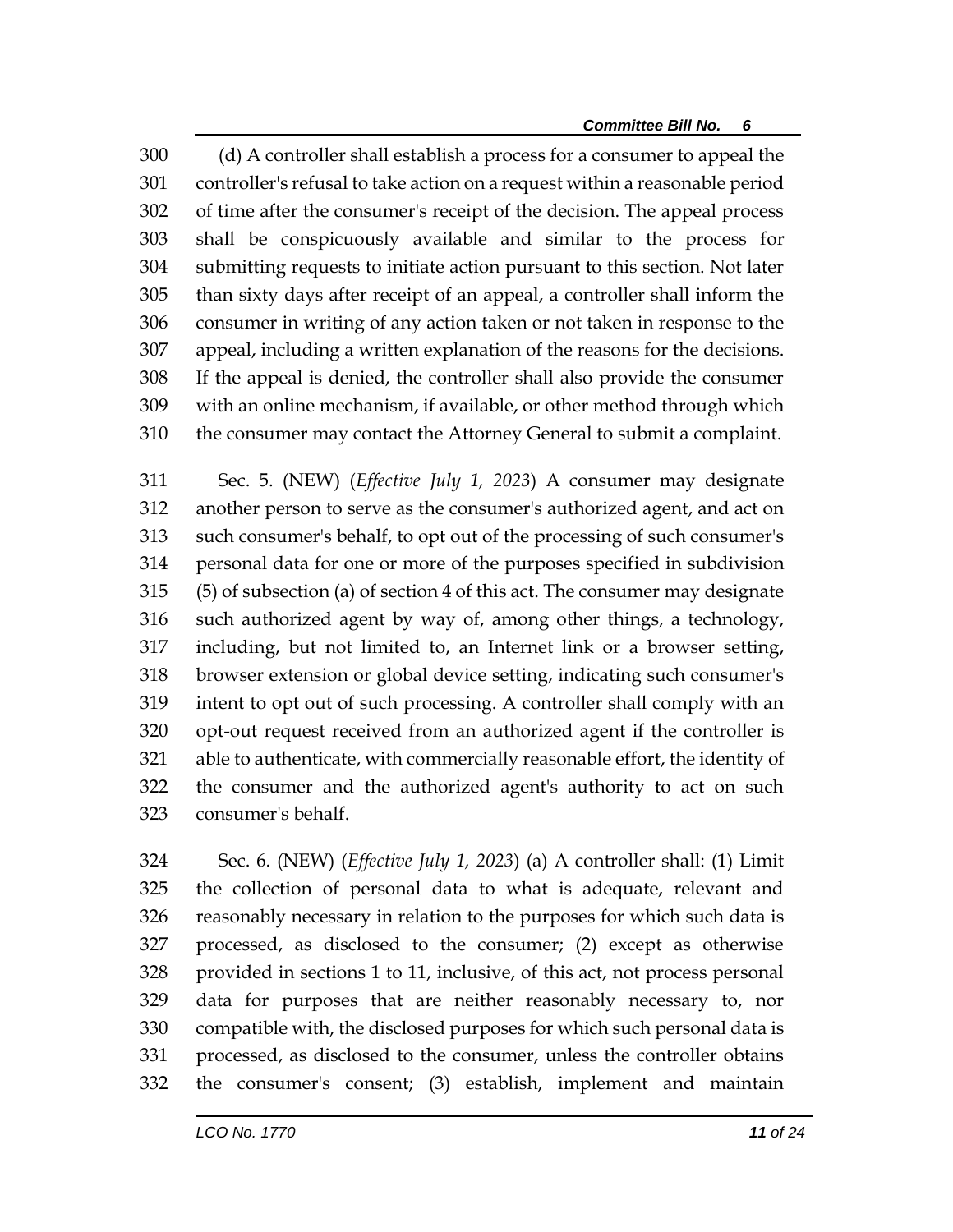(d) A controller shall establish a process for a consumer to appeal the controller's refusal to take action on a request within a reasonable period of time after the consumer's receipt of the decision. The appeal process shall be conspicuously available and similar to the process for submitting requests to initiate action pursuant to this section. Not later than sixty days after receipt of an appeal, a controller shall inform the consumer in writing of any action taken or not taken in response to the appeal, including a written explanation of the reasons for the decisions. If the appeal is denied, the controller shall also provide the consumer with an online mechanism, if available, or other method through which the consumer may contact the Attorney General to submit a complaint.

 Sec. 5. (NEW) (*Effective July 1, 2023*) A consumer may designate another person to serve as the consumer's authorized agent, and act on such consumer's behalf, to opt out of the processing of such consumer's personal data for one or more of the purposes specified in subdivision (5) of subsection (a) of section 4 of this act. The consumer may designate such authorized agent by way of, among other things, a technology, including, but not limited to, an Internet link or a browser setting, browser extension or global device setting, indicating such consumer's intent to opt out of such processing. A controller shall comply with an opt-out request received from an authorized agent if the controller is able to authenticate, with commercially reasonable effort, the identity of the consumer and the authorized agent's authority to act on such consumer's behalf.

 Sec. 6. (NEW) (*Effective July 1, 2023*) (a) A controller shall: (1) Limit the collection of personal data to what is adequate, relevant and reasonably necessary in relation to the purposes for which such data is processed, as disclosed to the consumer; (2) except as otherwise provided in sections 1 to 11, inclusive, of this act, not process personal data for purposes that are neither reasonably necessary to, nor compatible with, the disclosed purposes for which such personal data is processed, as disclosed to the consumer, unless the controller obtains the consumer's consent; (3) establish, implement and maintain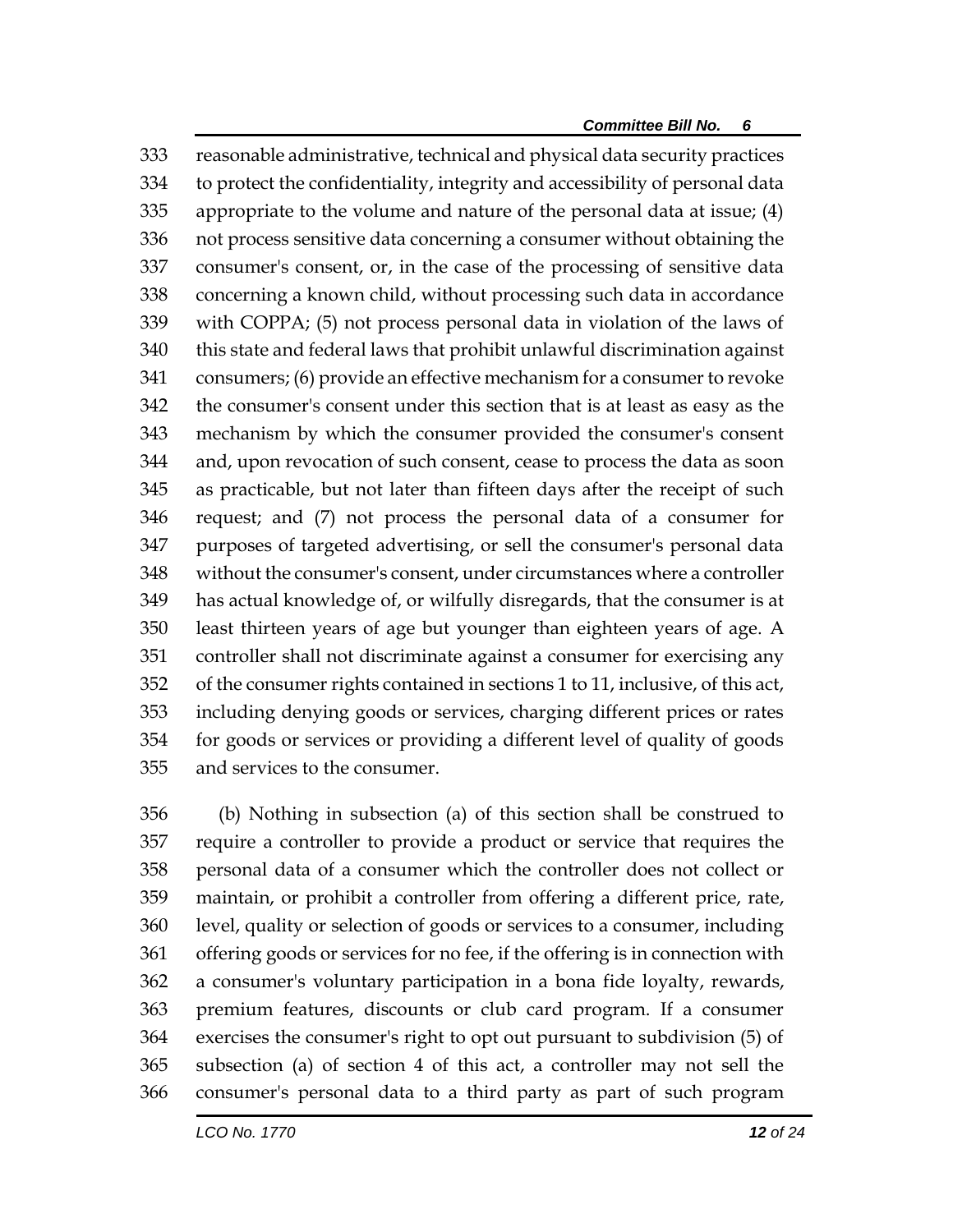reasonable administrative, technical and physical data security practices to protect the confidentiality, integrity and accessibility of personal data appropriate to the volume and nature of the personal data at issue; (4) not process sensitive data concerning a consumer without obtaining the consumer's consent, or, in the case of the processing of sensitive data concerning a known child, without processing such data in accordance with COPPA; (5) not process personal data in violation of the laws of this state and federal laws that prohibit unlawful discrimination against consumers; (6) provide an effective mechanism for a consumer to revoke the consumer's consent under this section that is at least as easy as the mechanism by which the consumer provided the consumer's consent and, upon revocation of such consent, cease to process the data as soon as practicable, but not later than fifteen days after the receipt of such request; and (7) not process the personal data of a consumer for purposes of targeted advertising, or sell the consumer's personal data without the consumer's consent, under circumstances where a controller has actual knowledge of, or wilfully disregards, that the consumer is at least thirteen years of age but younger than eighteen years of age. A controller shall not discriminate against a consumer for exercising any of the consumer rights contained in sections 1 to 11, inclusive, of this act, including denying goods or services, charging different prices or rates for goods or services or providing a different level of quality of goods and services to the consumer.

 (b) Nothing in subsection (a) of this section shall be construed to require a controller to provide a product or service that requires the personal data of a consumer which the controller does not collect or maintain, or prohibit a controller from offering a different price, rate, level, quality or selection of goods or services to a consumer, including offering goods or services for no fee, if the offering is in connection with a consumer's voluntary participation in a bona fide loyalty, rewards, premium features, discounts or club card program. If a consumer exercises the consumer's right to opt out pursuant to subdivision (5) of subsection (a) of section 4 of this act, a controller may not sell the consumer's personal data to a third party as part of such program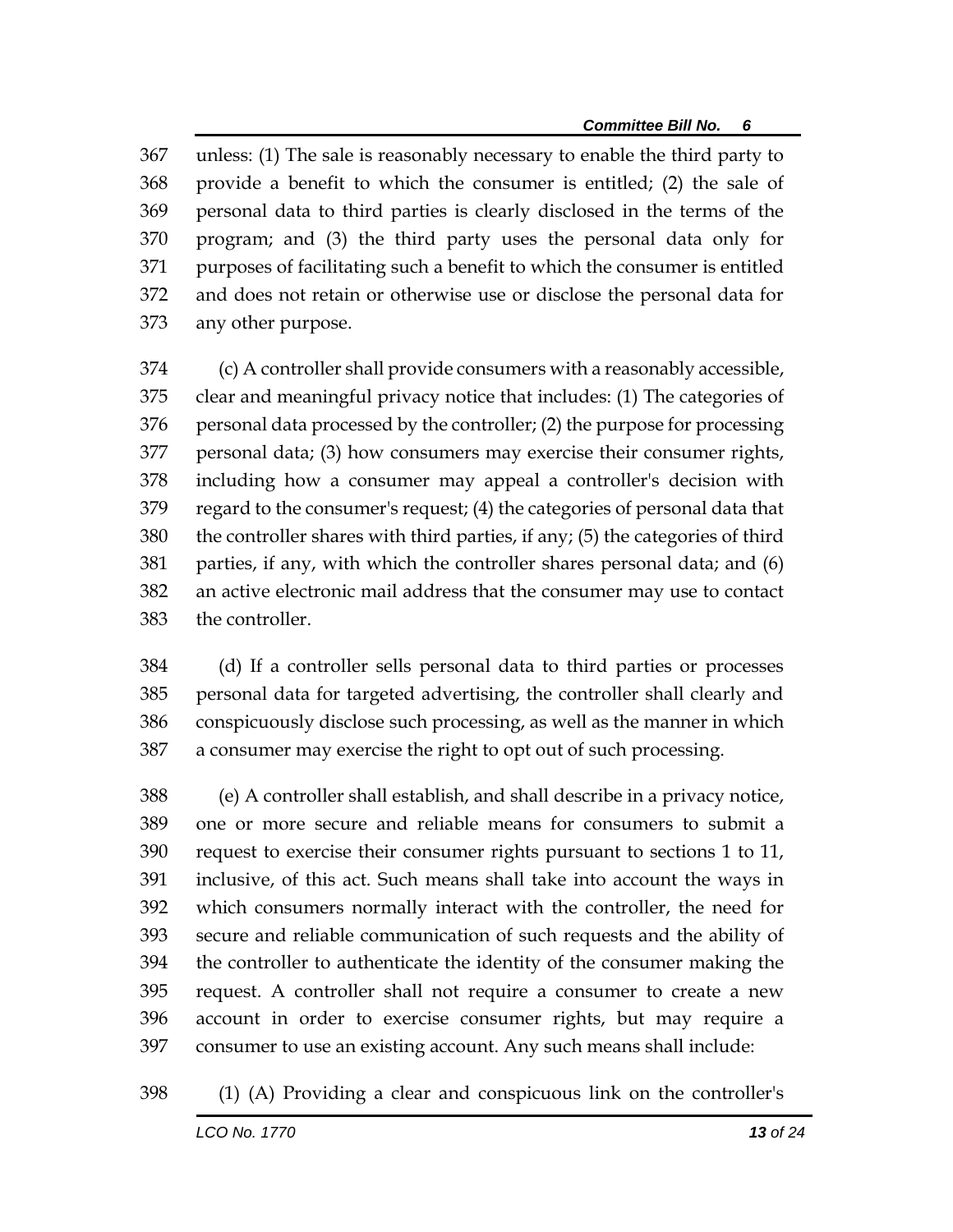unless: (1) The sale is reasonably necessary to enable the third party to provide a benefit to which the consumer is entitled; (2) the sale of personal data to third parties is clearly disclosed in the terms of the program; and (3) the third party uses the personal data only for purposes of facilitating such a benefit to which the consumer is entitled and does not retain or otherwise use or disclose the personal data for any other purpose.

 (c) A controller shall provide consumers with a reasonably accessible, clear and meaningful privacy notice that includes: (1) The categories of personal data processed by the controller; (2) the purpose for processing personal data; (3) how consumers may exercise their consumer rights, including how a consumer may appeal a controller's decision with regard to the consumer's request; (4) the categories of personal data that the controller shares with third parties, if any; (5) the categories of third parties, if any, with which the controller shares personal data; and (6) an active electronic mail address that the consumer may use to contact the controller.

 (d) If a controller sells personal data to third parties or processes personal data for targeted advertising, the controller shall clearly and conspicuously disclose such processing, as well as the manner in which a consumer may exercise the right to opt out of such processing.

 (e) A controller shall establish, and shall describe in a privacy notice, one or more secure and reliable means for consumers to submit a request to exercise their consumer rights pursuant to sections 1 to 11, inclusive, of this act. Such means shall take into account the ways in which consumers normally interact with the controller, the need for secure and reliable communication of such requests and the ability of the controller to authenticate the identity of the consumer making the request. A controller shall not require a consumer to create a new account in order to exercise consumer rights, but may require a consumer to use an existing account. Any such means shall include:

(1) (A) Providing a clear and conspicuous link on the controller's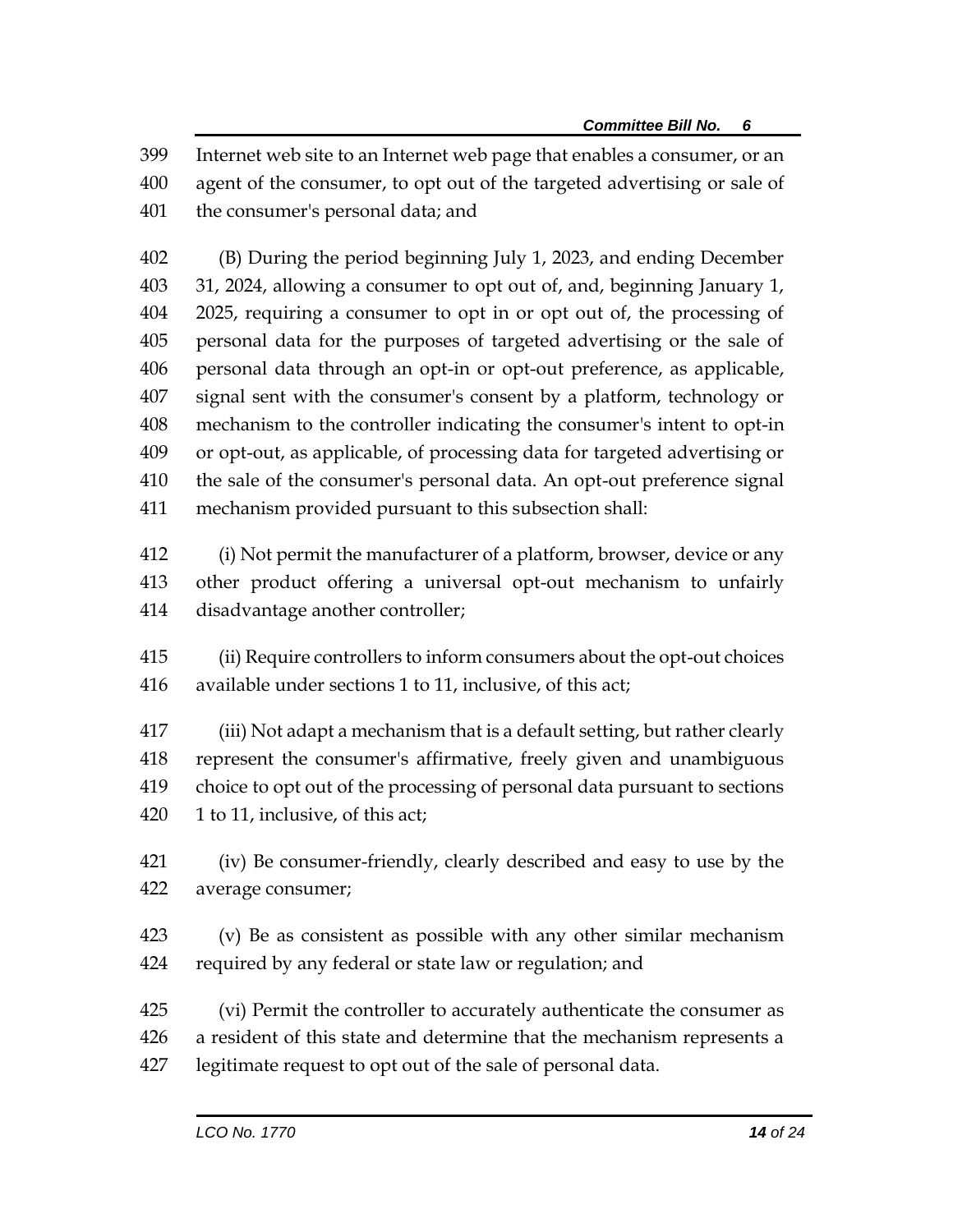Internet web site to an Internet web page that enables a consumer, or an agent of the consumer, to opt out of the targeted advertising or sale of the consumer's personal data; and

 (B) During the period beginning July 1, 2023, and ending December 31, 2024, allowing a consumer to opt out of, and, beginning January 1, 2025, requiring a consumer to opt in or opt out of, the processing of personal data for the purposes of targeted advertising or the sale of personal data through an opt-in or opt-out preference, as applicable, signal sent with the consumer's consent by a platform, technology or mechanism to the controller indicating the consumer's intent to opt-in or opt-out, as applicable, of processing data for targeted advertising or the sale of the consumer's personal data. An opt-out preference signal mechanism provided pursuant to this subsection shall:

 (i) Not permit the manufacturer of a platform, browser, device or any other product offering a universal opt-out mechanism to unfairly disadvantage another controller;

 (ii) Require controllers to inform consumers about the opt-out choices available under sections 1 to 11, inclusive, of this act;

 (iii) Not adapt a mechanism that is a default setting, but rather clearly represent the consumer's affirmative, freely given and unambiguous choice to opt out of the processing of personal data pursuant to sections 420 1 to 11, inclusive, of this act;

 (iv) Be consumer-friendly, clearly described and easy to use by the average consumer;

 (v) Be as consistent as possible with any other similar mechanism required by any federal or state law or regulation; and

 (vi) Permit the controller to accurately authenticate the consumer as a resident of this state and determine that the mechanism represents a legitimate request to opt out of the sale of personal data.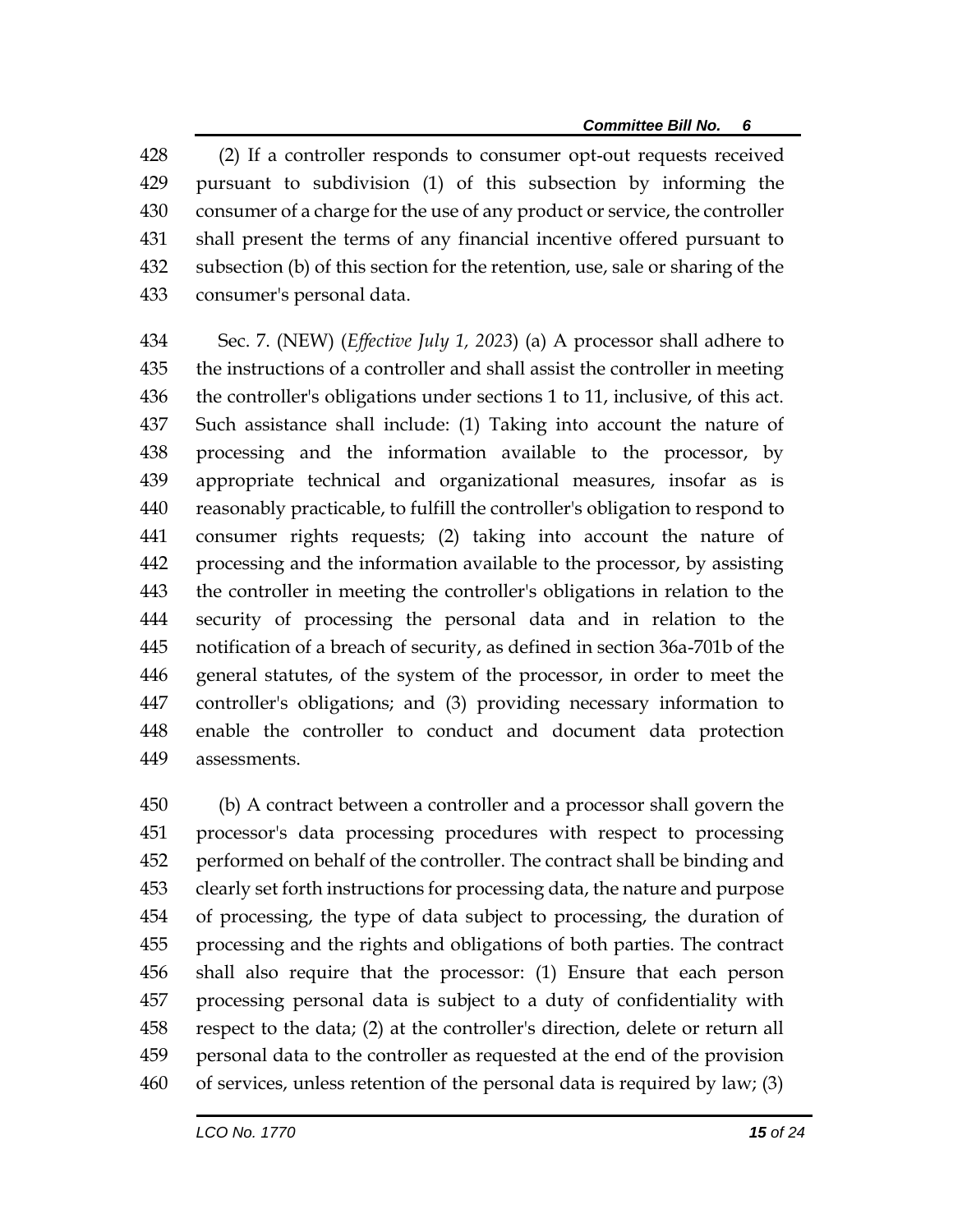428 (2) If a controller responds to consumer opt-out requests received pursuant to subdivision (1) of this subsection by informing the consumer of a charge for the use of any product or service, the controller shall present the terms of any financial incentive offered pursuant to subsection (b) of this section for the retention, use, sale or sharing of the consumer's personal data.

 Sec. 7. (NEW) (*Effective July 1, 2023*) (a) A processor shall adhere to the instructions of a controller and shall assist the controller in meeting the controller's obligations under sections 1 to 11, inclusive, of this act. Such assistance shall include: (1) Taking into account the nature of processing and the information available to the processor, by appropriate technical and organizational measures, insofar as is reasonably practicable, to fulfill the controller's obligation to respond to consumer rights requests; (2) taking into account the nature of processing and the information available to the processor, by assisting the controller in meeting the controller's obligations in relation to the security of processing the personal data and in relation to the notification of a breach of security, as defined in section 36a-701b of the general statutes, of the system of the processor, in order to meet the controller's obligations; and (3) providing necessary information to enable the controller to conduct and document data protection assessments.

 (b) A contract between a controller and a processor shall govern the processor's data processing procedures with respect to processing performed on behalf of the controller. The contract shall be binding and clearly set forth instructions for processing data, the nature and purpose of processing, the type of data subject to processing, the duration of processing and the rights and obligations of both parties. The contract shall also require that the processor: (1) Ensure that each person processing personal data is subject to a duty of confidentiality with respect to the data; (2) at the controller's direction, delete or return all personal data to the controller as requested at the end of the provision of services, unless retention of the personal data is required by law; (3)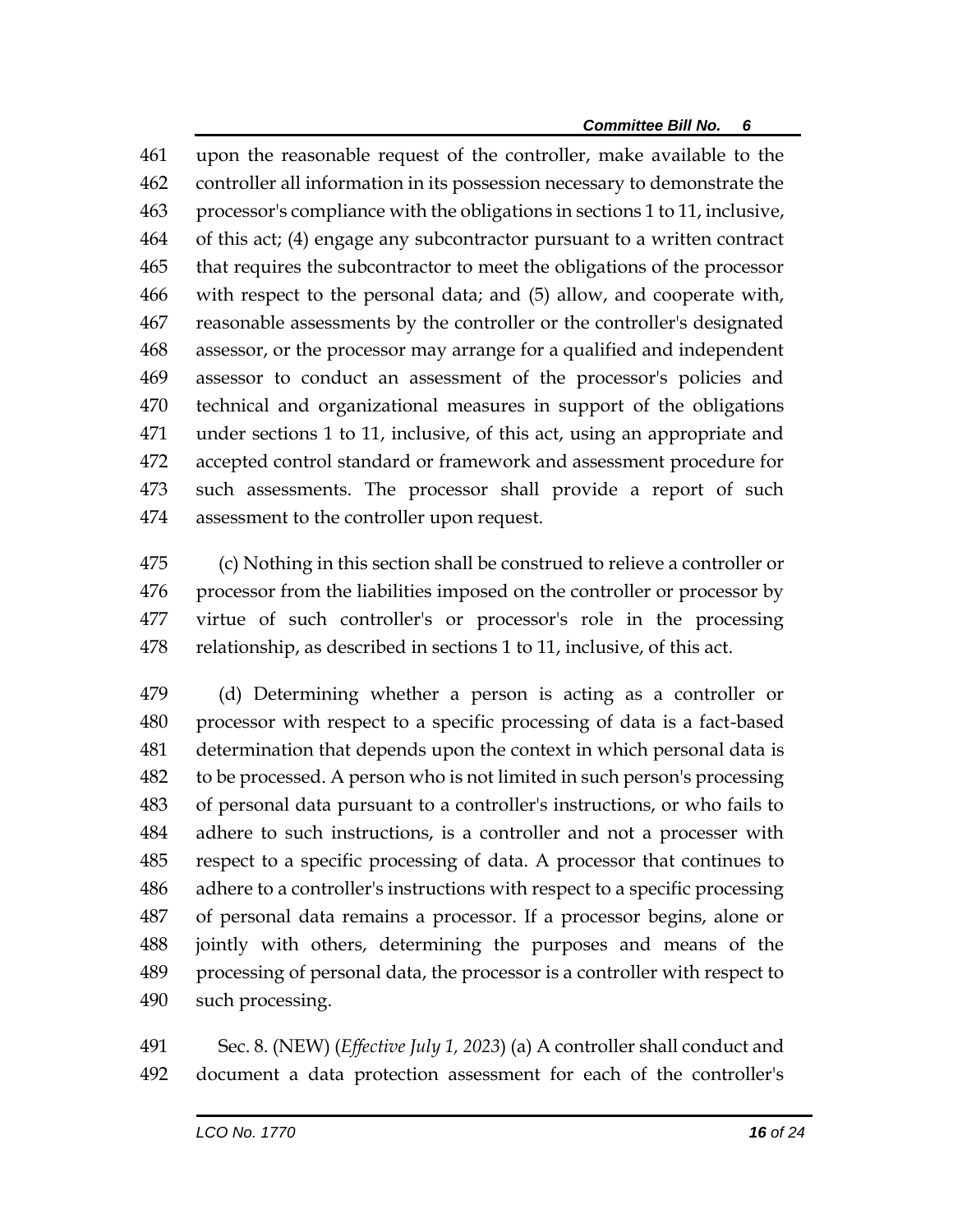upon the reasonable request of the controller, make available to the controller all information in its possession necessary to demonstrate the processor's compliance with the obligations in sections 1 to 11, inclusive, of this act; (4) engage any subcontractor pursuant to a written contract that requires the subcontractor to meet the obligations of the processor with respect to the personal data; and (5) allow, and cooperate with, reasonable assessments by the controller or the controller's designated assessor, or the processor may arrange for a qualified and independent assessor to conduct an assessment of the processor's policies and technical and organizational measures in support of the obligations under sections 1 to 11, inclusive, of this act, using an appropriate and accepted control standard or framework and assessment procedure for such assessments. The processor shall provide a report of such assessment to the controller upon request.

 (c) Nothing in this section shall be construed to relieve a controller or processor from the liabilities imposed on the controller or processor by virtue of such controller's or processor's role in the processing relationship, as described in sections 1 to 11, inclusive, of this act.

 (d) Determining whether a person is acting as a controller or processor with respect to a specific processing of data is a fact-based determination that depends upon the context in which personal data is to be processed. A person who is not limited in such person's processing of personal data pursuant to a controller's instructions, or who fails to adhere to such instructions, is a controller and not a processer with respect to a specific processing of data. A processor that continues to adhere to a controller's instructions with respect to a specific processing of personal data remains a processor. If a processor begins, alone or jointly with others, determining the purposes and means of the processing of personal data, the processor is a controller with respect to such processing.

 Sec. 8. (NEW) (*Effective July 1, 2023*) (a) A controller shall conduct and document a data protection assessment for each of the controller's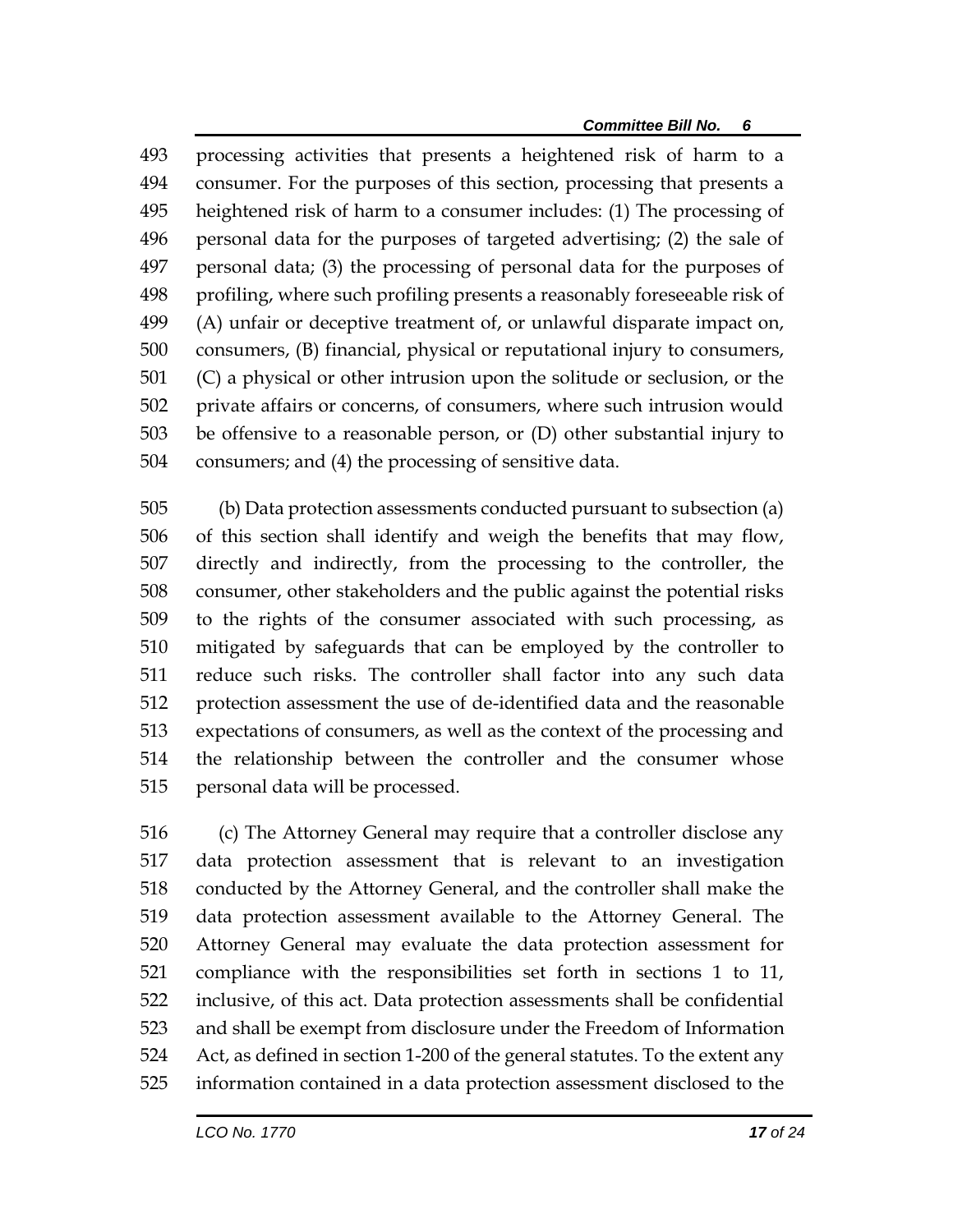processing activities that presents a heightened risk of harm to a consumer. For the purposes of this section, processing that presents a heightened risk of harm to a consumer includes: (1) The processing of personal data for the purposes of targeted advertising; (2) the sale of personal data; (3) the processing of personal data for the purposes of profiling, where such profiling presents a reasonably foreseeable risk of (A) unfair or deceptive treatment of, or unlawful disparate impact on, consumers, (B) financial, physical or reputational injury to consumers, (C) a physical or other intrusion upon the solitude or seclusion, or the private affairs or concerns, of consumers, where such intrusion would be offensive to a reasonable person, or (D) other substantial injury to consumers; and (4) the processing of sensitive data.

 (b) Data protection assessments conducted pursuant to subsection (a) of this section shall identify and weigh the benefits that may flow, directly and indirectly, from the processing to the controller, the consumer, other stakeholders and the public against the potential risks to the rights of the consumer associated with such processing, as mitigated by safeguards that can be employed by the controller to reduce such risks. The controller shall factor into any such data protection assessment the use of de-identified data and the reasonable expectations of consumers, as well as the context of the processing and the relationship between the controller and the consumer whose personal data will be processed.

 (c) The Attorney General may require that a controller disclose any data protection assessment that is relevant to an investigation conducted by the Attorney General, and the controller shall make the data protection assessment available to the Attorney General. The Attorney General may evaluate the data protection assessment for compliance with the responsibilities set forth in sections 1 to 11, inclusive, of this act. Data protection assessments shall be confidential and shall be exempt from disclosure under the Freedom of Information Act, as defined in section 1-200 of the general statutes. To the extent any information contained in a data protection assessment disclosed to the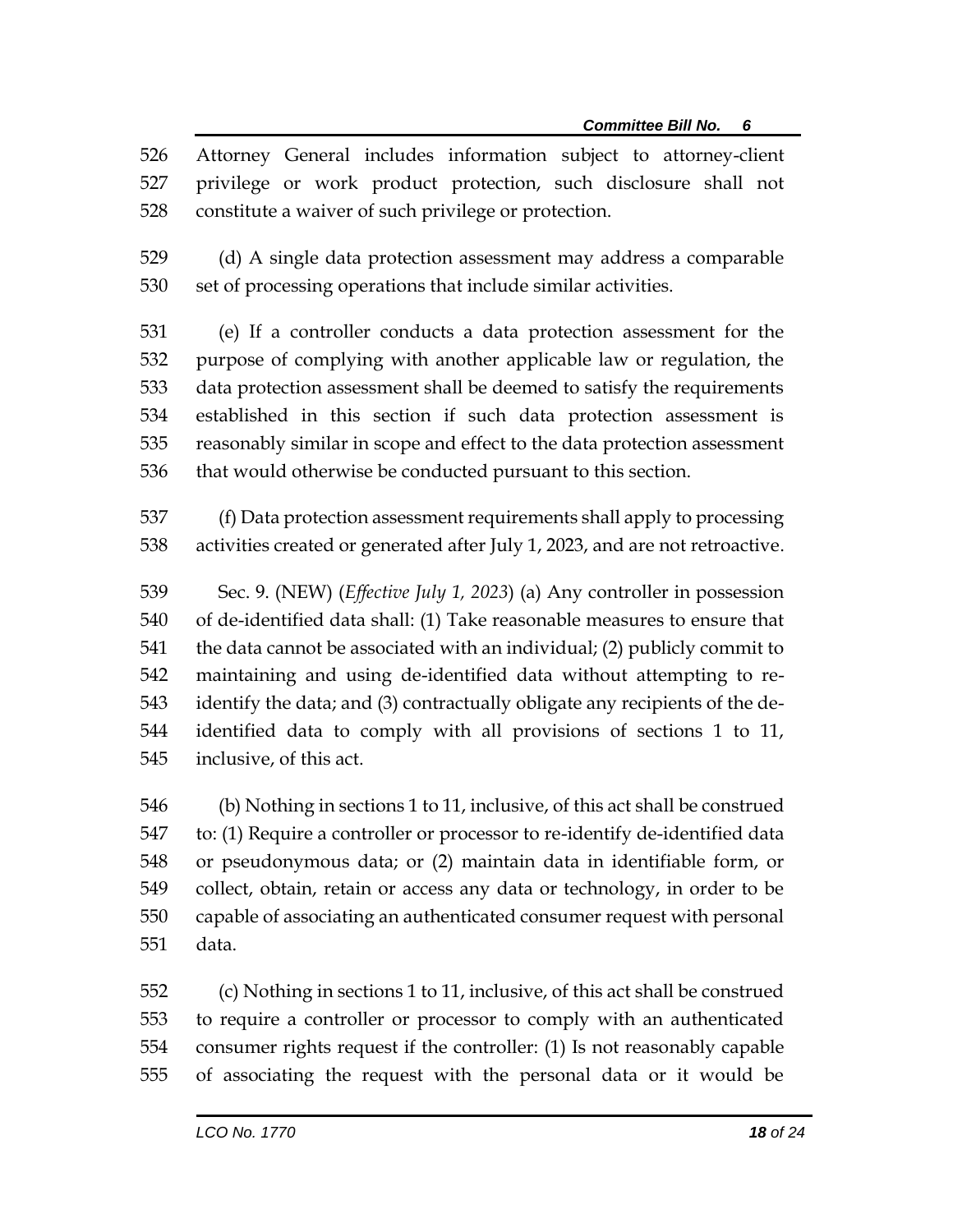Attorney General includes information subject to attorney-client privilege or work product protection, such disclosure shall not constitute a waiver of such privilege or protection.

 (d) A single data protection assessment may address a comparable set of processing operations that include similar activities.

 (e) If a controller conducts a data protection assessment for the purpose of complying with another applicable law or regulation, the data protection assessment shall be deemed to satisfy the requirements established in this section if such data protection assessment is reasonably similar in scope and effect to the data protection assessment that would otherwise be conducted pursuant to this section.

 (f) Data protection assessment requirements shall apply to processing activities created or generated after July 1, 2023, and are not retroactive.

 Sec. 9. (NEW) (*Effective July 1, 2023*) (a) Any controller in possession of de-identified data shall: (1) Take reasonable measures to ensure that the data cannot be associated with an individual; (2) publicly commit to maintaining and using de-identified data without attempting to re- identify the data; and (3) contractually obligate any recipients of the de- identified data to comply with all provisions of sections 1 to 11, inclusive, of this act.

 (b) Nothing in sections 1 to 11, inclusive, of this act shall be construed to: (1) Require a controller or processor to re-identify de-identified data or pseudonymous data; or (2) maintain data in identifiable form, or collect, obtain, retain or access any data or technology, in order to be capable of associating an authenticated consumer request with personal data.

 (c) Nothing in sections 1 to 11, inclusive, of this act shall be construed to require a controller or processor to comply with an authenticated consumer rights request if the controller: (1) Is not reasonably capable of associating the request with the personal data or it would be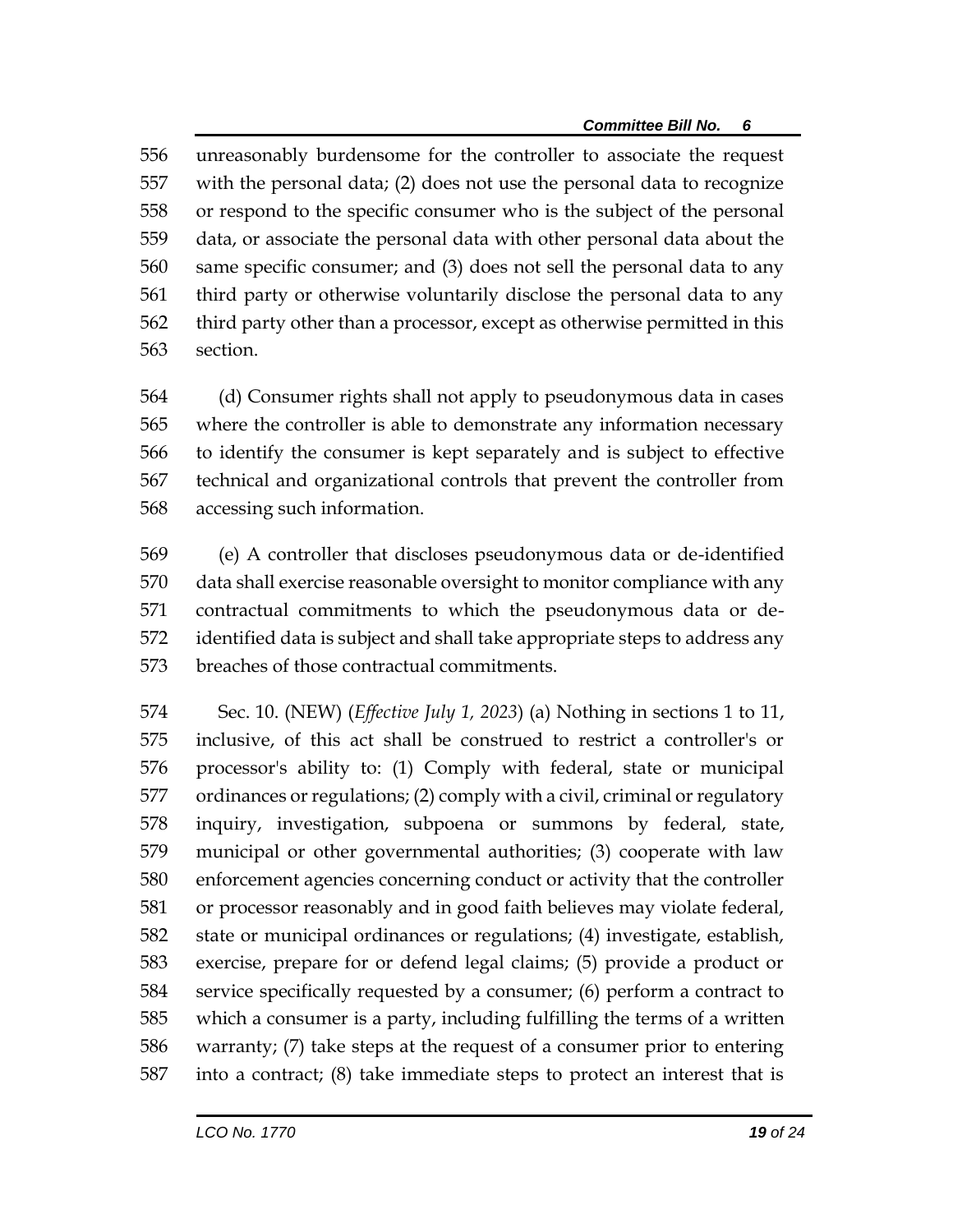unreasonably burdensome for the controller to associate the request with the personal data; (2) does not use the personal data to recognize or respond to the specific consumer who is the subject of the personal data, or associate the personal data with other personal data about the same specific consumer; and (3) does not sell the personal data to any third party or otherwise voluntarily disclose the personal data to any third party other than a processor, except as otherwise permitted in this section.

 (d) Consumer rights shall not apply to pseudonymous data in cases where the controller is able to demonstrate any information necessary to identify the consumer is kept separately and is subject to effective technical and organizational controls that prevent the controller from accessing such information.

 (e) A controller that discloses pseudonymous data or de-identified data shall exercise reasonable oversight to monitor compliance with any contractual commitments to which the pseudonymous data or de- identified data is subject and shall take appropriate steps to address any breaches of those contractual commitments.

 Sec. 10. (NEW) (*Effective July 1, 2023*) (a) Nothing in sections 1 to 11, inclusive, of this act shall be construed to restrict a controller's or processor's ability to: (1) Comply with federal, state or municipal ordinances or regulations; (2) comply with a civil, criminal or regulatory inquiry, investigation, subpoena or summons by federal, state, municipal or other governmental authorities; (3) cooperate with law enforcement agencies concerning conduct or activity that the controller or processor reasonably and in good faith believes may violate federal, state or municipal ordinances or regulations; (4) investigate, establish, exercise, prepare for or defend legal claims; (5) provide a product or service specifically requested by a consumer; (6) perform a contract to which a consumer is a party, including fulfilling the terms of a written warranty; (7) take steps at the request of a consumer prior to entering into a contract; (8) take immediate steps to protect an interest that is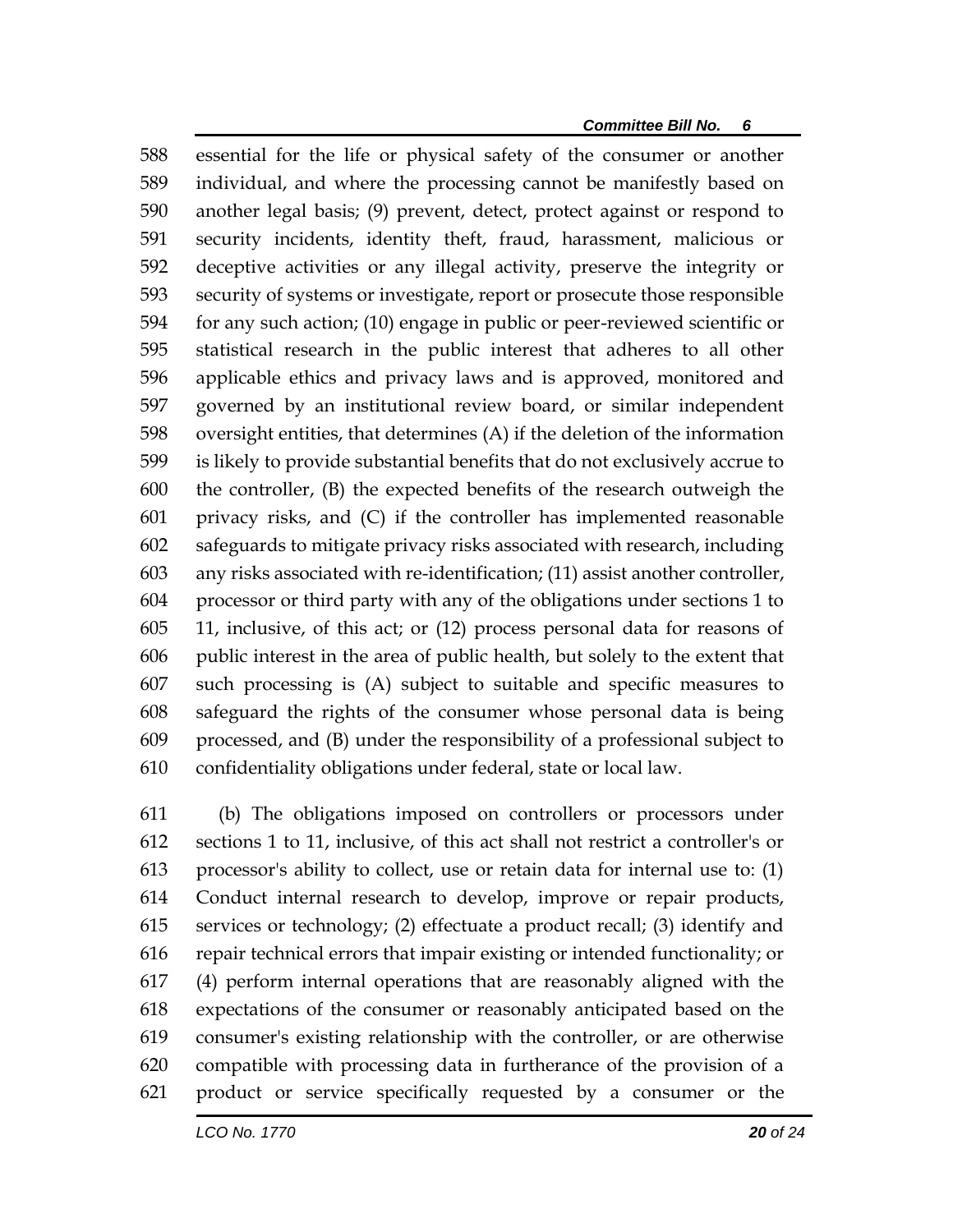essential for the life or physical safety of the consumer or another individual, and where the processing cannot be manifestly based on another legal basis; (9) prevent, detect, protect against or respond to security incidents, identity theft, fraud, harassment, malicious or deceptive activities or any illegal activity, preserve the integrity or security of systems or investigate, report or prosecute those responsible for any such action; (10) engage in public or peer-reviewed scientific or statistical research in the public interest that adheres to all other applicable ethics and privacy laws and is approved, monitored and governed by an institutional review board, or similar independent oversight entities, that determines (A) if the deletion of the information is likely to provide substantial benefits that do not exclusively accrue to the controller, (B) the expected benefits of the research outweigh the privacy risks, and (C) if the controller has implemented reasonable safeguards to mitigate privacy risks associated with research, including any risks associated with re-identification; (11) assist another controller, processor or third party with any of the obligations under sections 1 to 11, inclusive, of this act; or (12) process personal data for reasons of public interest in the area of public health, but solely to the extent that such processing is (A) subject to suitable and specific measures to safeguard the rights of the consumer whose personal data is being processed, and (B) under the responsibility of a professional subject to confidentiality obligations under federal, state or local law.

 (b) The obligations imposed on controllers or processors under sections 1 to 11, inclusive, of this act shall not restrict a controller's or processor's ability to collect, use or retain data for internal use to: (1) Conduct internal research to develop, improve or repair products, services or technology; (2) effectuate a product recall; (3) identify and repair technical errors that impair existing or intended functionality; or (4) perform internal operations that are reasonably aligned with the expectations of the consumer or reasonably anticipated based on the consumer's existing relationship with the controller, or are otherwise compatible with processing data in furtherance of the provision of a product or service specifically requested by a consumer or the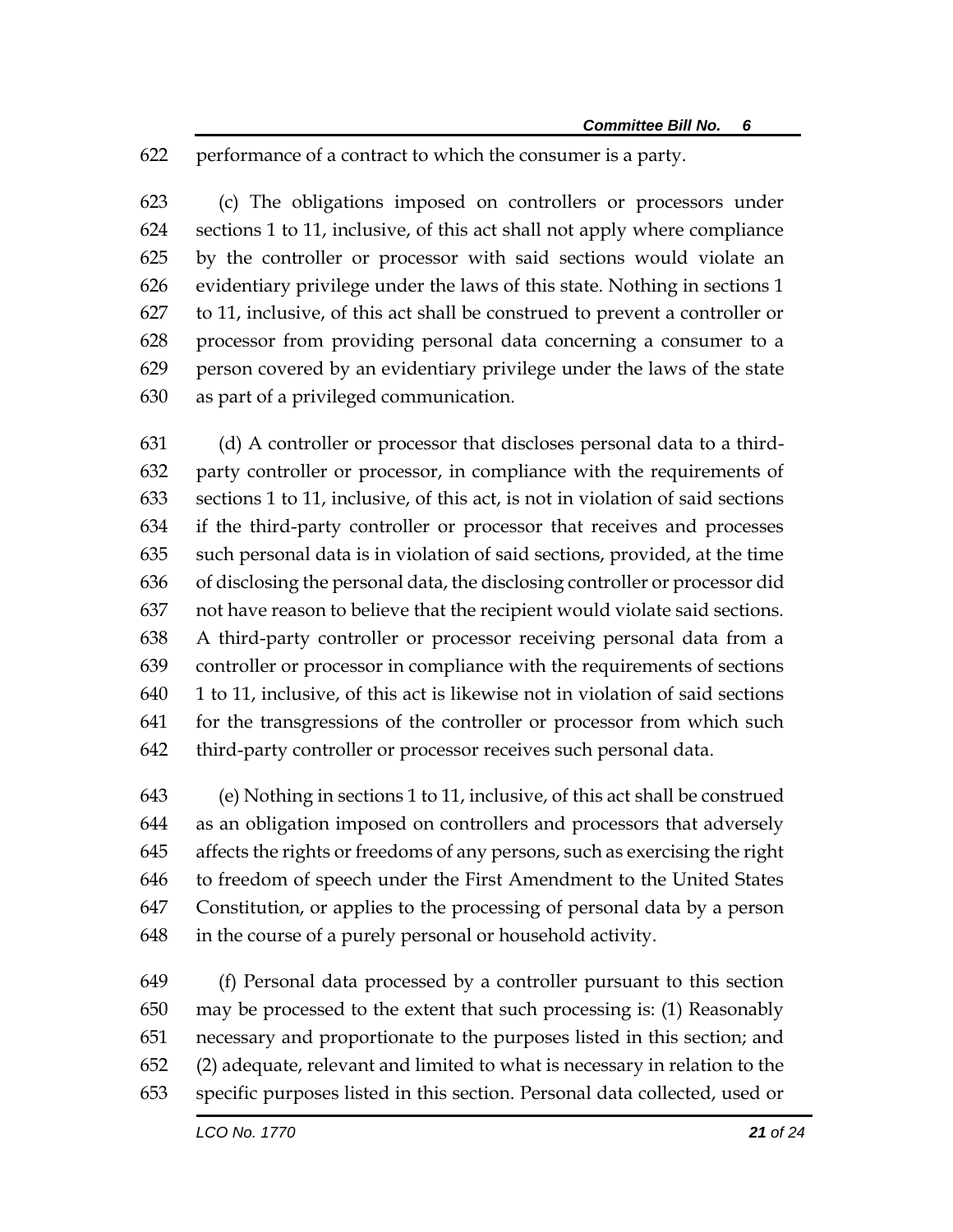performance of a contract to which the consumer is a party.

 (c) The obligations imposed on controllers or processors under sections 1 to 11, inclusive, of this act shall not apply where compliance by the controller or processor with said sections would violate an evidentiary privilege under the laws of this state. Nothing in sections 1 to 11, inclusive, of this act shall be construed to prevent a controller or processor from providing personal data concerning a consumer to a person covered by an evidentiary privilege under the laws of the state as part of a privileged communication.

 (d) A controller or processor that discloses personal data to a third- party controller or processor, in compliance with the requirements of sections 1 to 11, inclusive, of this act, is not in violation of said sections if the third-party controller or processor that receives and processes such personal data is in violation of said sections, provided, at the time of disclosing the personal data, the disclosing controller or processor did not have reason to believe that the recipient would violate said sections. A third-party controller or processor receiving personal data from a controller or processor in compliance with the requirements of sections 1 to 11, inclusive, of this act is likewise not in violation of said sections for the transgressions of the controller or processor from which such third-party controller or processor receives such personal data.

 (e) Nothing in sections 1 to 11, inclusive, of this act shall be construed as an obligation imposed on controllers and processors that adversely affects the rights or freedoms of any persons, such as exercising the right to freedom of speech under the First Amendment to the United States Constitution, or applies to the processing of personal data by a person in the course of a purely personal or household activity.

 (f) Personal data processed by a controller pursuant to this section may be processed to the extent that such processing is: (1) Reasonably necessary and proportionate to the purposes listed in this section; and (2) adequate, relevant and limited to what is necessary in relation to the specific purposes listed in this section. Personal data collected, used or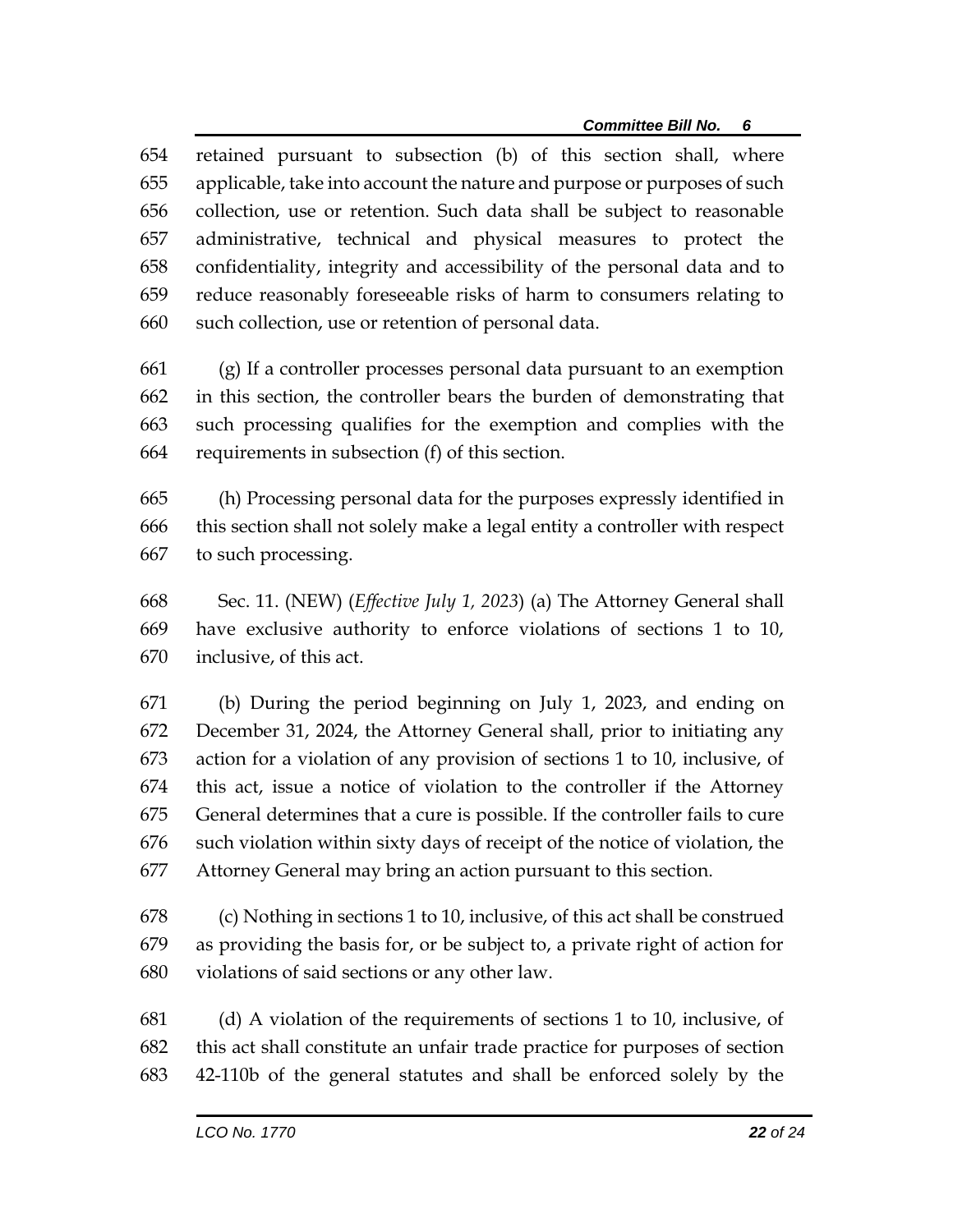retained pursuant to subsection (b) of this section shall, where applicable, take into account the nature and purpose or purposes of such collection, use or retention. Such data shall be subject to reasonable administrative, technical and physical measures to protect the confidentiality, integrity and accessibility of the personal data and to reduce reasonably foreseeable risks of harm to consumers relating to such collection, use or retention of personal data.

 (g) If a controller processes personal data pursuant to an exemption in this section, the controller bears the burden of demonstrating that such processing qualifies for the exemption and complies with the requirements in subsection (f) of this section.

 (h) Processing personal data for the purposes expressly identified in this section shall not solely make a legal entity a controller with respect to such processing.

 Sec. 11. (NEW) (*Effective July 1, 2023*) (a) The Attorney General shall have exclusive authority to enforce violations of sections 1 to 10, inclusive, of this act.

 (b) During the period beginning on July 1, 2023, and ending on December 31, 2024, the Attorney General shall, prior to initiating any action for a violation of any provision of sections 1 to 10, inclusive, of this act, issue a notice of violation to the controller if the Attorney General determines that a cure is possible. If the controller fails to cure such violation within sixty days of receipt of the notice of violation, the Attorney General may bring an action pursuant to this section.

 (c) Nothing in sections 1 to 10, inclusive, of this act shall be construed as providing the basis for, or be subject to, a private right of action for violations of said sections or any other law.

 (d) A violation of the requirements of sections 1 to 10, inclusive, of this act shall constitute an unfair trade practice for purposes of section 42-110b of the general statutes and shall be enforced solely by the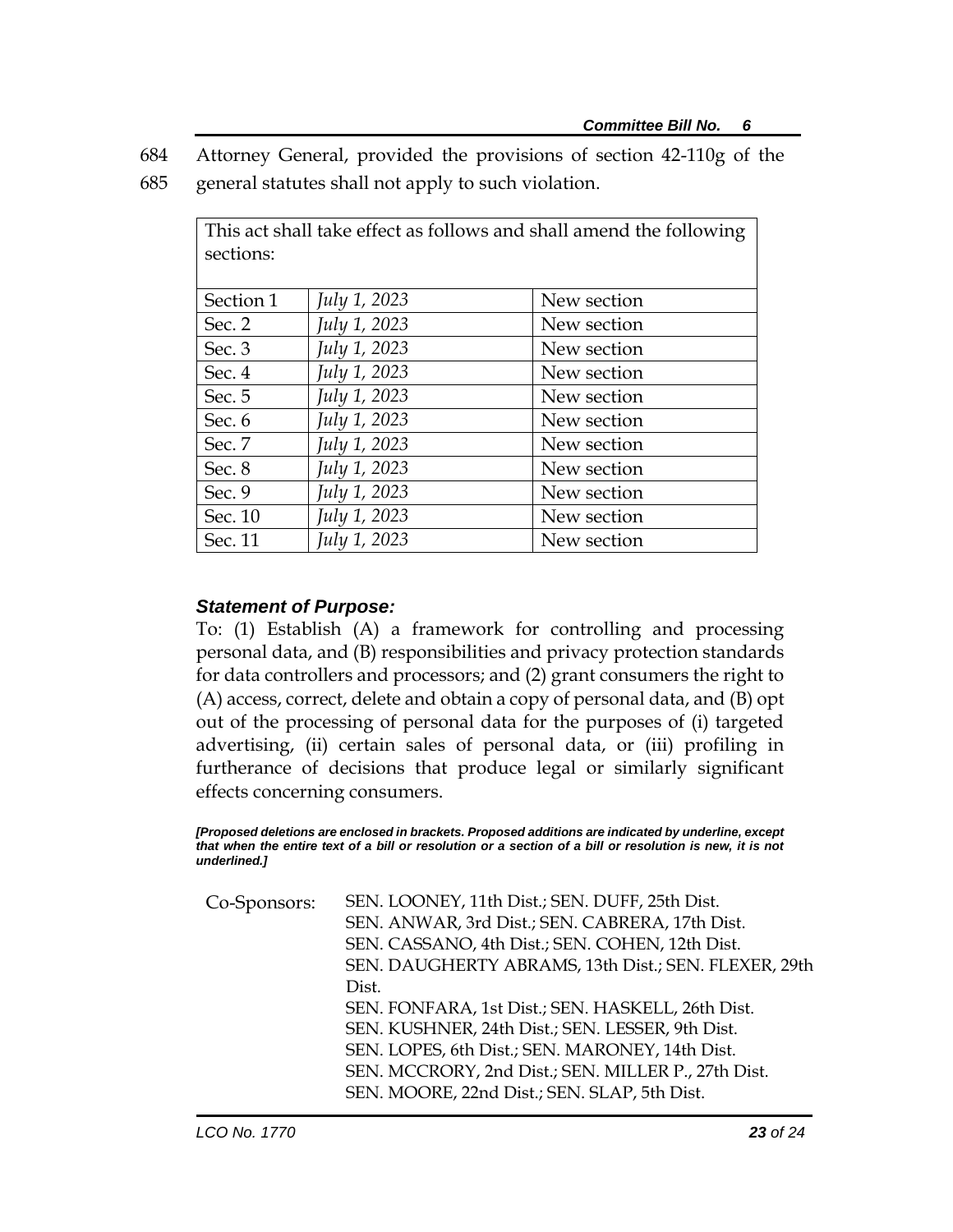- 684 Attorney General, provided the provisions of section 42-110g of the
- 685 general statutes shall not apply to such violation.

| This act shall take effect as follows and shall amend the following<br>sections: |              |             |
|----------------------------------------------------------------------------------|--------------|-------------|
| Section 1                                                                        | July 1, 2023 | New section |
| Sec. 2                                                                           | July 1, 2023 | New section |
| Sec. 3                                                                           | July 1, 2023 | New section |
| Sec. 4                                                                           | July 1, 2023 | New section |
| Sec. 5                                                                           | July 1, 2023 | New section |
| Sec. 6                                                                           | July 1, 2023 | New section |
| Sec. 7                                                                           | July 1, 2023 | New section |
| Sec. 8                                                                           | July 1, 2023 | New section |
| Sec. 9                                                                           | July 1, 2023 | New section |
| Sec. 10                                                                          | July 1, 2023 | New section |
| Sec. 11                                                                          | July 1, 2023 | New section |

## *Statement of Purpose:*

To: (1) Establish (A) a framework for controlling and processing personal data, and (B) responsibilities and privacy protection standards for data controllers and processors; and (2) grant consumers the right to (A) access, correct, delete and obtain a copy of personal data, and (B) opt out of the processing of personal data for the purposes of (i) targeted advertising, (ii) certain sales of personal data, or (iii) profiling in furtherance of decisions that produce legal or similarly significant effects concerning consumers.

*[Proposed deletions are enclosed in brackets. Proposed additions are indicated by underline, except that when the entire text of a bill or resolution or a section of a bill or resolution is new, it is not underlined.]*

| SEN. LOONEY, 11th Dist.; SEN. DUFF, 25th Dist.       |  |
|------------------------------------------------------|--|
| SEN. ANWAR, 3rd Dist.; SEN. CABRERA, 17th Dist.      |  |
| SEN. CASSANO, 4th Dist.; SEN. COHEN, 12th Dist.      |  |
| SEN. DAUGHERTY ABRAMS, 13th Dist.; SEN. FLEXER, 29th |  |
| Dist.                                                |  |
| SEN. FONFARA, 1st Dist.; SEN. HASKELL, 26th Dist.    |  |
| SEN. KUSHNER, 24th Dist.; SEN. LESSER, 9th Dist.     |  |
| SEN. LOPES, 6th Dist.; SEN. MARONEY, 14th Dist.      |  |
| SEN. MCCRORY, 2nd Dist.; SEN. MILLER P., 27th Dist.  |  |
| SEN. MOORE, 22nd Dist.; SEN. SLAP, 5th Dist.         |  |
|                                                      |  |